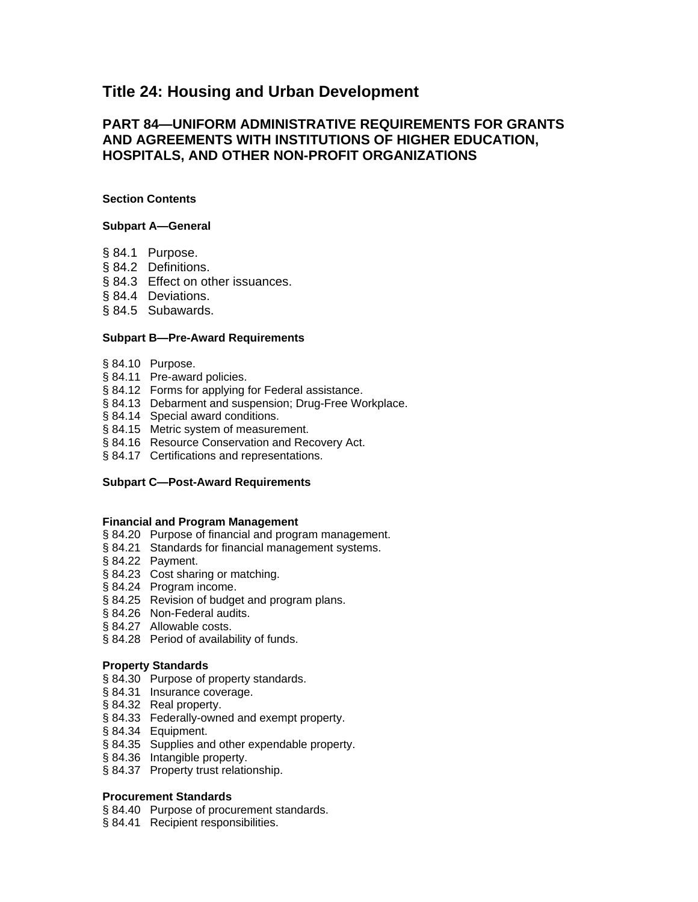# <span id="page-0-0"></span>**Title 24: Housing and Urban Development**

# **PART 84—UNIFORM ADMINISTRATIVE REQUIREMENTS FOR GRANTS AND AGREEMENTS WITH INSTITUTIONS OF HIGHER EDUCATION, HOSPITALS, AND OTHER NON-PROFIT ORGANIZATIONS**

#### **Section Contents**

#### **Subpart A—General**

- § 84.1 Purpose.
- § 84.2 Definitions.
- § 84.3 Effect on other issuances.
- § 84.4 Deviations.
- § 84.5 Subawards.

#### **Subpart B—Pre-Award Requirements**

- [§ 84.10 Purpose.](#page-0-0)
- [§ 84.11 Pre-award policies.](#page-0-0)
- [§ 84.12 Forms for applying for Federal assistance.](#page-0-0)
- [§ 84.13 Debarment and suspension; Drug-Free Workplace.](#page-0-0)
- [§ 84.14 Special award conditions.](#page-0-0)
- [§ 84.15 Metric system of measurement.](#page-0-0)
- [§ 84.16 Resource Conservation and Recovery Act.](#page-0-0)
- [§ 84.17 Certifications and representations.](#page-0-0)

### **Subpart C—Post-Award Requirements**

#### **[Financial and Program Management](#page-0-0)**

- [§ 84.20 Purpose of financial and program management.](#page-0-0)
- [§ 84.21 Standards for financial management systems.](#page-0-0)
- [§ 84.22 Payment.](#page-0-0)
- [§ 84.23 Cost sharing or matching.](#page-0-0)
- [§ 84.24 Program income.](#page-0-0)
- [§ 84.25 Revision of budget and program plans.](#page-0-0)
- [§ 84.26 Non-Federal audits.](#page-0-0)
- [§ 84.27 Allowable costs.](#page-0-0)
- [§ 84.28 Period of availability of funds.](#page-0-0)

#### **[Property Standards](#page-0-0)**

- [§ 84.30 Purpose of property standards.](#page-0-0)
- [§ 84.31 Insurance coverage.](#page-0-0)
- [§ 84.32 Real property.](#page-0-0)
- [§ 84.33 Federally-owned and exempt property.](#page-0-0)
- [§ 84.34 Equipment.](#page-0-0)
- [§ 84.35 Supplies and other expendable property.](#page-0-0)
- [§ 84.36 Intangible property.](#page-0-0)
- [§ 84.37 Property trust relationship.](#page-0-0)

#### **[Procurement Standards](#page-0-0)**

- [§ 84.40 Purpose of procurement standards.](#page-0-0)
- [§ 84.41 Recipient responsibilities.](#page-0-0)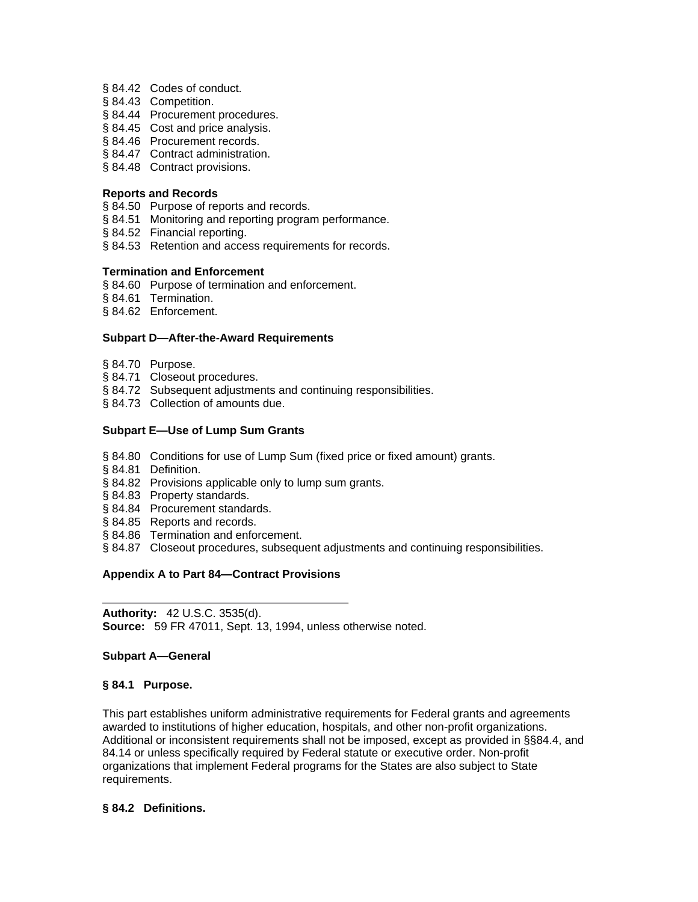- [§ 84.42 Codes of conduct.](#page-0-0)
- [§ 84.43 Competition.](#page-0-0)
- [§ 84.44 Procurement procedures.](#page-0-0)
- [§ 84.45 Cost and price analysis.](#page-0-0)
- [§ 84.46 Procurement records.](#page-0-0)
- [§ 84.47 Contract administration.](#page-0-0)
- [§ 84.48 Contract provisions.](#page-0-0)

#### **[Reports and Records](#page-0-0)**

- [§ 84.50 Purpose of reports and records.](#page-0-0)
- [§ 84.51 Monitoring and reporting program performance.](#page-0-0)
- [§ 84.52 Financial reporting.](#page-0-0)
- [§ 84.53 Retention and access requirements for records.](#page-0-0)

#### **[Termination and Enforcement](#page-0-0)**

- [§ 84.60 Purpose of termination and enforcement.](#page-0-0)
- [§ 84.61 Termination.](#page-0-0)
- [§ 84.62 Enforcement.](#page-0-0)

#### **[Subpart D—After-the-Award Requirements](#page-0-0)**

- [§ 84.70 Purpose.](#page-0-0)
- [§ 84.71 Closeout procedures.](#page-0-0)
- [§ 84.72 Subsequent adjustments and continuing responsibilities.](#page-0-0)
- [§ 84.73 Collection of amounts due.](#page-0-0)

#### **[Subpart E—Use of Lump Sum Grants](#page-0-0)**

- [§ 84.80 Conditions for use of Lump Sum \(fixed price or fixed amount\) grants.](#page-0-0)
- [§ 84.81 Definition.](#page-0-0)
- [§ 84.82 Provisions applicable only to lump sum grants.](#page-0-0)
- [§ 84.83 Property standards.](#page-0-0)
- [§ 84.84 Procurement standards.](#page-0-0)
- [§ 84.85 Reports and records.](#page-0-0)
- [§ 84.86 Termination and enforcement.](#page-0-0)
- [§ 84.87 Closeout procedures, subsequent adjustments and continuing responsibilities.](#page-0-0)

#### **[Appendix A to Part 84—Contract Provisions](#page-0-0)**

**Authority:** 42 U.S.C. 3535(d). **Source:** 59 FR 47011, Sept. 13, 1994, unless otherwise noted.

#### **Subpart A—General**

#### **§ 84.1 Purpose.**

This part establishes uniform administrative requirements for Federal grants and agreements awarded to institutions of higher education, hospitals, and other non-profit organizations. Additional or inconsistent requirements shall not be imposed, except as provided in §§84.4, and 84.14 or unless specifically required by Federal statute or executive order. Non-profit organizations that implement Federal programs for the States are also subject to State requirements.

#### **§ 84.2 Definitions.**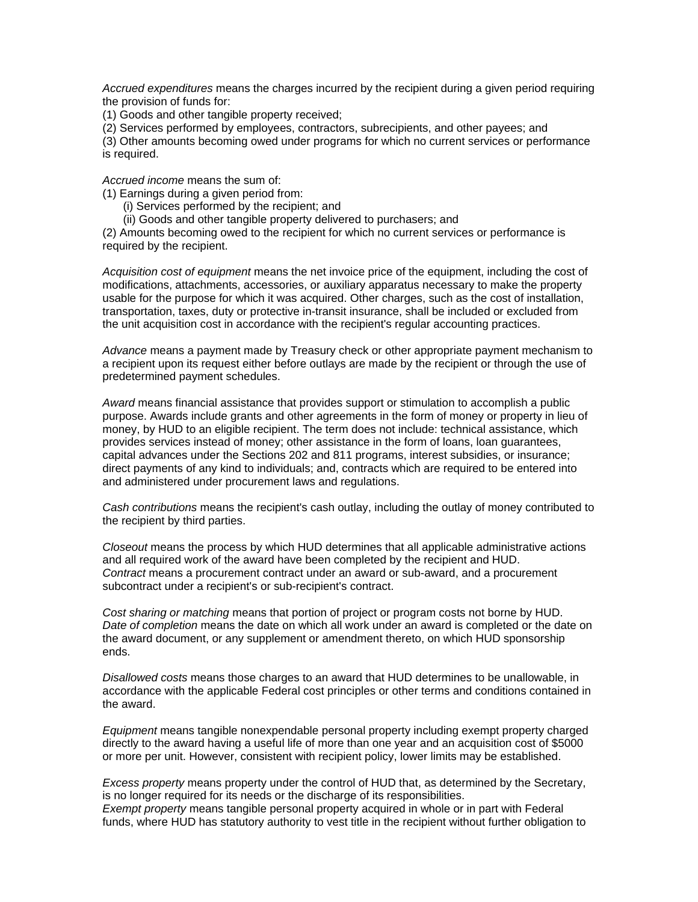*Accrued expenditures* means the charges incurred by the recipient during a given period requiring the provision of funds for:

(1) Goods and other tangible property received;

(2) Services performed by employees, contractors, subrecipients, and other payees; and

(3) Other amounts becoming owed under programs for which no current services or performance is required.

*Accrued income* means the sum of:

(1) Earnings during a given period from:

- (i) Services performed by the recipient; and
- (ii) Goods and other tangible property delivered to purchasers; and

(2) Amounts becoming owed to the recipient for which no current services or performance is required by the recipient.

*Acquisition cost of equipment* means the net invoice price of the equipment, including the cost of modifications, attachments, accessories, or auxiliary apparatus necessary to make the property usable for the purpose for which it was acquired. Other charges, such as the cost of installation, transportation, taxes, duty or protective in-transit insurance, shall be included or excluded from the unit acquisition cost in accordance with the recipient's regular accounting practices.

*Advance* means a payment made by Treasury check or other appropriate payment mechanism to a recipient upon its request either before outlays are made by the recipient or through the use of predetermined payment schedules.

*Award* means financial assistance that provides support or stimulation to accomplish a public purpose. Awards include grants and other agreements in the form of money or property in lieu of money, by HUD to an eligible recipient. The term does not include: technical assistance, which provides services instead of money; other assistance in the form of loans, loan guarantees, capital advances under the Sections 202 and 811 programs, interest subsidies, or insurance; direct payments of any kind to individuals; and, contracts which are required to be entered into and administered under procurement laws and regulations.

*Cash contributions* means the recipient's cash outlay, including the outlay of money contributed to the recipient by third parties.

*Closeout* means the process by which HUD determines that all applicable administrative actions and all required work of the award have been completed by the recipient and HUD. *Contract* means a procurement contract under an award or sub-award, and a procurement subcontract under a recipient's or sub-recipient's contract.

*Cost sharing or matching* means that portion of project or program costs not borne by HUD. *Date of completion* means the date on which all work under an award is completed or the date on the award document, or any supplement or amendment thereto, on which HUD sponsorship ends.

*Disallowed costs* means those charges to an award that HUD determines to be unallowable, in accordance with the applicable Federal cost principles or other terms and conditions contained in the award.

*Equipment* means tangible nonexpendable personal property including exempt property charged directly to the award having a useful life of more than one year and an acquisition cost of \$5000 or more per unit. However, consistent with recipient policy, lower limits may be established.

*Excess property* means property under the control of HUD that, as determined by the Secretary, is no longer required for its needs or the discharge of its responsibilities.

*Exempt property* means tangible personal property acquired in whole or in part with Federal funds, where HUD has statutory authority to vest title in the recipient without further obligation to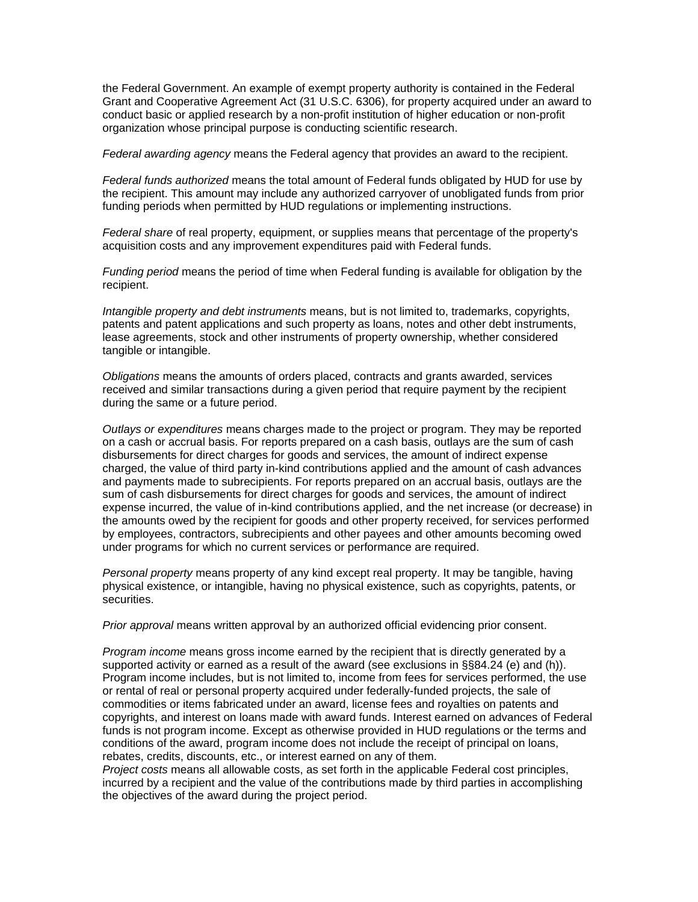the Federal Government. An example of exempt property authority is contained in the Federal Grant and Cooperative Agreement Act (31 U.S.C. 6306), for property acquired under an award to conduct basic or applied research by a non-profit institution of higher education or non-profit organization whose principal purpose is conducting scientific research.

*Federal awarding agency* means the Federal agency that provides an award to the recipient.

*Federal funds authorized* means the total amount of Federal funds obligated by HUD for use by the recipient. This amount may include any authorized carryover of unobligated funds from prior funding periods when permitted by HUD regulations or implementing instructions.

*Federal share* of real property, equipment, or supplies means that percentage of the property's acquisition costs and any improvement expenditures paid with Federal funds.

*Funding period* means the period of time when Federal funding is available for obligation by the recipient.

*Intangible property and debt instruments* means, but is not limited to, trademarks, copyrights, patents and patent applications and such property as loans, notes and other debt instruments, lease agreements, stock and other instruments of property ownership, whether considered tangible or intangible.

*Obligations* means the amounts of orders placed, contracts and grants awarded, services received and similar transactions during a given period that require payment by the recipient during the same or a future period.

*Outlays or expenditures* means charges made to the project or program. They may be reported on a cash or accrual basis. For reports prepared on a cash basis, outlays are the sum of cash disbursements for direct charges for goods and services, the amount of indirect expense charged, the value of third party in-kind contributions applied and the amount of cash advances and payments made to subrecipients. For reports prepared on an accrual basis, outlays are the sum of cash disbursements for direct charges for goods and services, the amount of indirect expense incurred, the value of in-kind contributions applied, and the net increase (or decrease) in the amounts owed by the recipient for goods and other property received, for services performed by employees, contractors, subrecipients and other payees and other amounts becoming owed under programs for which no current services or performance are required.

*Personal property* means property of any kind except real property. It may be tangible, having physical existence, or intangible, having no physical existence, such as copyrights, patents, or securities.

*Prior approval* means written approval by an authorized official evidencing prior consent.

*Program income* means gross income earned by the recipient that is directly generated by a supported activity or earned as a result of the award (see exclusions in §§84.24 (e) and (h)). Program income includes, but is not limited to, income from fees for services performed, the use or rental of real or personal property acquired under federally-funded projects, the sale of commodities or items fabricated under an award, license fees and royalties on patents and copyrights, and interest on loans made with award funds. Interest earned on advances of Federal funds is not program income. Except as otherwise provided in HUD regulations or the terms and conditions of the award, program income does not include the receipt of principal on loans, rebates, credits, discounts, etc., or interest earned on any of them.

*Project costs* means all allowable costs, as set forth in the applicable Federal cost principles, incurred by a recipient and the value of the contributions made by third parties in accomplishing the objectives of the award during the project period.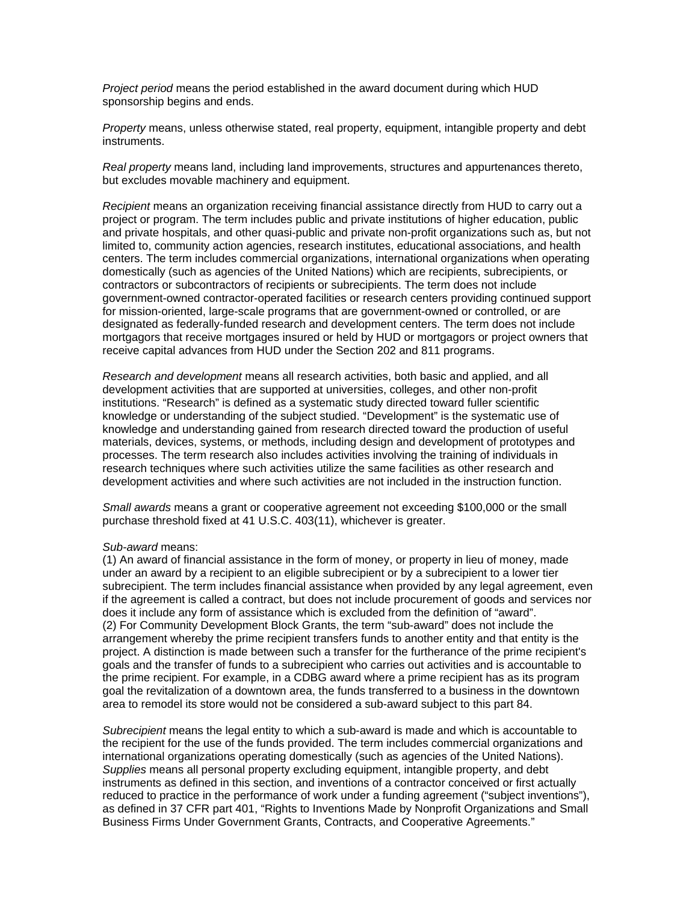*Project period* means the period established in the award document during which HUD sponsorship begins and ends.

*Property* means, unless otherwise stated, real property, equipment, intangible property and debt instruments.

*Real property* means land, including land improvements, structures and appurtenances thereto, but excludes movable machinery and equipment.

*Recipient* means an organization receiving financial assistance directly from HUD to carry out a project or program. The term includes public and private institutions of higher education, public and private hospitals, and other quasi-public and private non-profit organizations such as, but not limited to, community action agencies, research institutes, educational associations, and health centers. The term includes commercial organizations, international organizations when operating domestically (such as agencies of the United Nations) which are recipients, subrecipients, or contractors or subcontractors of recipients or subrecipients. The term does not include government-owned contractor-operated facilities or research centers providing continued support for mission-oriented, large-scale programs that are government-owned or controlled, or are designated as federally-funded research and development centers. The term does not include mortgagors that receive mortgages insured or held by HUD or mortgagors or project owners that receive capital advances from HUD under the Section 202 and 811 programs.

*Research and development* means all research activities, both basic and applied, and all development activities that are supported at universities, colleges, and other non-profit institutions. "Research" is defined as a systematic study directed toward fuller scientific knowledge or understanding of the subject studied. "Development" is the systematic use of knowledge and understanding gained from research directed toward the production of useful materials, devices, systems, or methods, including design and development of prototypes and processes. The term research also includes activities involving the training of individuals in research techniques where such activities utilize the same facilities as other research and development activities and where such activities are not included in the instruction function.

*Small awards* means a grant or cooperative agreement not exceeding \$100,000 or the small purchase threshold fixed at 41 U.S.C. 403(11), whichever is greater.

#### *Sub-award* means:

(1) An award of financial assistance in the form of money, or property in lieu of money, made under an award by a recipient to an eligible subrecipient or by a subrecipient to a lower tier subrecipient. The term includes financial assistance when provided by any legal agreement, even if the agreement is called a contract, but does not include procurement of goods and services nor does it include any form of assistance which is excluded from the definition of "award". (2) For Community Development Block Grants, the term "sub-award" does not include the arrangement whereby the prime recipient transfers funds to another entity and that entity is the project. A distinction is made between such a transfer for the furtherance of the prime recipient's goals and the transfer of funds to a subrecipient who carries out activities and is accountable to the prime recipient. For example, in a CDBG award where a prime recipient has as its program goal the revitalization of a downtown area, the funds transferred to a business in the downtown area to remodel its store would not be considered a sub-award subject to this part 84.

*Subrecipient* means the legal entity to which a sub-award is made and which is accountable to the recipient for the use of the funds provided. The term includes commercial organizations and international organizations operating domestically (such as agencies of the United Nations). *Supplies* means all personal property excluding equipment, intangible property, and debt instruments as defined in this section, and inventions of a contractor conceived or first actually reduced to practice in the performance of work under a funding agreement ("subject inventions"), as defined in 37 CFR part 401, "Rights to Inventions Made by Nonprofit Organizations and Small Business Firms Under Government Grants, Contracts, and Cooperative Agreements."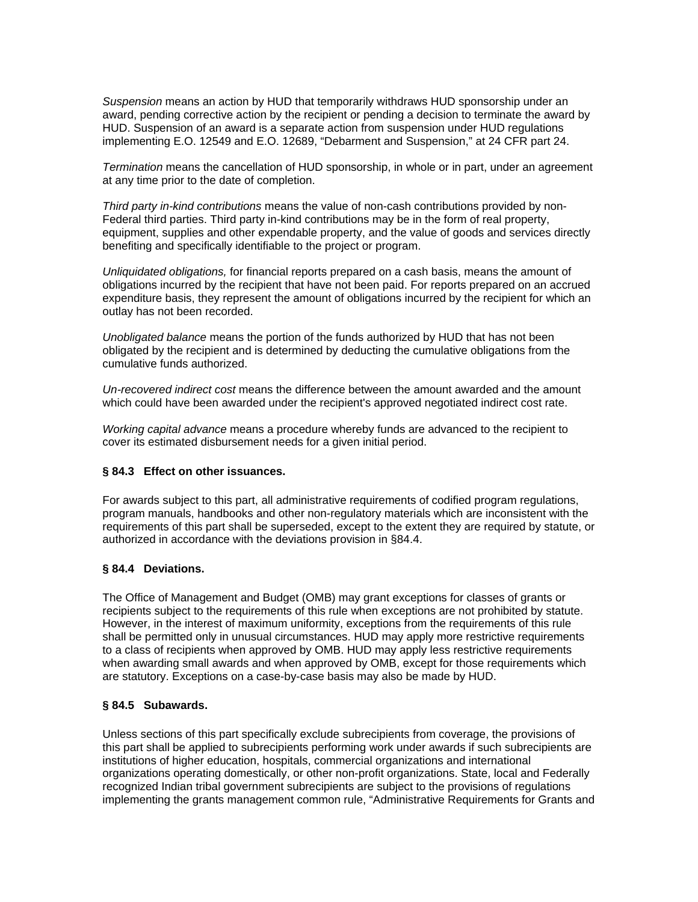*Suspension* means an action by HUD that temporarily withdraws HUD sponsorship under an award, pending corrective action by the recipient or pending a decision to terminate the award by HUD. Suspension of an award is a separate action from suspension under HUD regulations implementing E.O. 12549 and E.O. 12689, "Debarment and Suspension," at 24 CFR part 24.

*Termination* means the cancellation of HUD sponsorship, in whole or in part, under an agreement at any time prior to the date of completion.

*Third party in-kind contributions* means the value of non-cash contributions provided by non-Federal third parties. Third party in-kind contributions may be in the form of real property, equipment, supplies and other expendable property, and the value of goods and services directly benefiting and specifically identifiable to the project or program.

*Unliquidated obligations,* for financial reports prepared on a cash basis, means the amount of obligations incurred by the recipient that have not been paid. For reports prepared on an accrued expenditure basis, they represent the amount of obligations incurred by the recipient for which an outlay has not been recorded.

*Unobligated balance* means the portion of the funds authorized by HUD that has not been obligated by the recipient and is determined by deducting the cumulative obligations from the cumulative funds authorized.

*Un-recovered indirect cost* means the difference between the amount awarded and the amount which could have been awarded under the recipient's approved negotiated indirect cost rate.

*Working capital advance* means a procedure whereby funds are advanced to the recipient to cover its estimated disbursement needs for a given initial period.

#### **§ 84.3 Effect on other issuances.**

For awards subject to this part, all administrative requirements of codified program regulations, program manuals, handbooks and other non-regulatory materials which are inconsistent with the requirements of this part shall be superseded, except to the extent they are required by statute, or authorized in accordance with the deviations provision in §84.4.

#### **§ 84.4 Deviations.**

The Office of Management and Budget (OMB) may grant exceptions for classes of grants or recipients subject to the requirements of this rule when exceptions are not prohibited by statute. However, in the interest of maximum uniformity, exceptions from the requirements of this rule shall be permitted only in unusual circumstances. HUD may apply more restrictive requirements to a class of recipients when approved by OMB. HUD may apply less restrictive requirements when awarding small awards and when approved by OMB, except for those requirements which are statutory. Exceptions on a case-by-case basis may also be made by HUD.

#### **§ 84.5 Subawards.**

Unless sections of this part specifically exclude subrecipients from coverage, the provisions of this part shall be applied to subrecipients performing work under awards if such subrecipients are institutions of higher education, hospitals, commercial organizations and international organizations operating domestically, or other non-profit organizations. State, local and Federally recognized Indian tribal government subrecipients are subject to the provisions of regulations implementing the grants management common rule, "Administrative Requirements for Grants and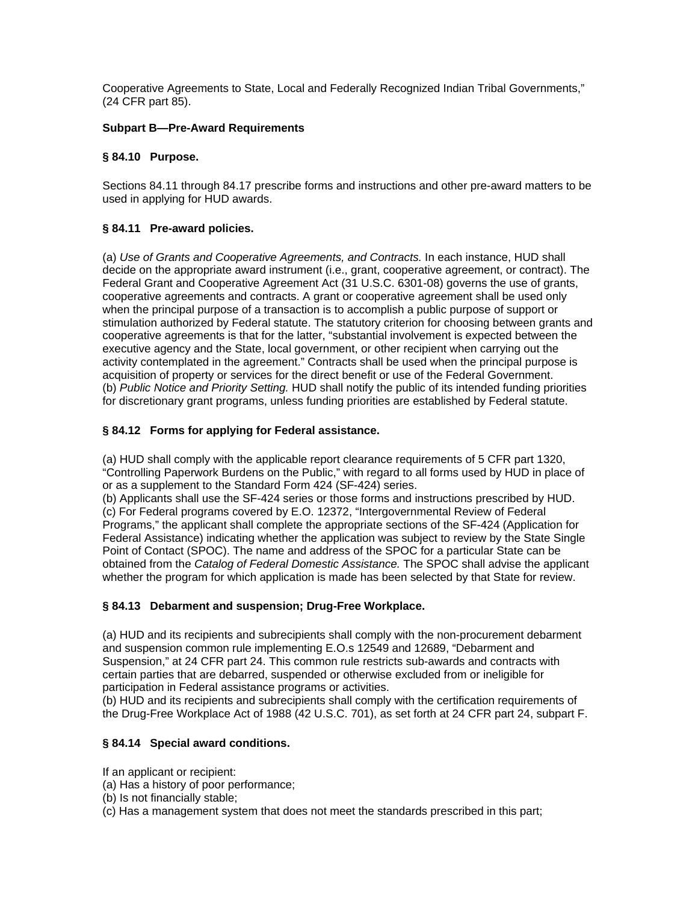Cooperative Agreements to State, Local and Federally Recognized Indian Tribal Governments," (24 CFR part 85).

### **Subpart B—Pre-Award Requirements**

### **§ 84.10 Purpose.**

Sections 84.11 through 84.17 prescribe forms and instructions and other pre-award matters to be used in applying for HUD awards.

### **§ 84.11 Pre-award policies.**

(a) *Use of Grants and Cooperative Agreements, and Contracts.* In each instance, HUD shall decide on the appropriate award instrument (i.e., grant, cooperative agreement, or contract). The Federal Grant and Cooperative Agreement Act (31 U.S.C. 6301-08) governs the use of grants, cooperative agreements and contracts. A grant or cooperative agreement shall be used only when the principal purpose of a transaction is to accomplish a public purpose of support or stimulation authorized by Federal statute. The statutory criterion for choosing between grants and cooperative agreements is that for the latter, "substantial involvement is expected between the executive agency and the State, local government, or other recipient when carrying out the activity contemplated in the agreement." Contracts shall be used when the principal purpose is acquisition of property or services for the direct benefit or use of the Federal Government. (b) *Public Notice and Priority Setting.* HUD shall notify the public of its intended funding priorities for discretionary grant programs, unless funding priorities are established by Federal statute.

# **§ 84.12 Forms for applying for Federal assistance.**

(a) HUD shall comply with the applicable report clearance requirements of 5 CFR part 1320, "Controlling Paperwork Burdens on the Public," with regard to all forms used by HUD in place of or as a supplement to the Standard Form 424 (SF-424) series.

(b) Applicants shall use the SF-424 series or those forms and instructions prescribed by HUD. (c) For Federal programs covered by E.O. 12372, "Intergovernmental Review of Federal Programs," the applicant shall complete the appropriate sections of the SF-424 (Application for Federal Assistance) indicating whether the application was subject to review by the State Single Point of Contact (SPOC). The name and address of the SPOC for a particular State can be obtained from the *Catalog of Federal Domestic Assistance.* The SPOC shall advise the applicant whether the program for which application is made has been selected by that State for review.

### **§ 84.13 Debarment and suspension; Drug-Free Workplace.**

(a) HUD and its recipients and subrecipients shall comply with the non-procurement debarment and suspension common rule implementing E.O.s 12549 and 12689, "Debarment and Suspension," at 24 CFR part 24. This common rule restricts sub-awards and contracts with certain parties that are debarred, suspended or otherwise excluded from or ineligible for participation in Federal assistance programs or activities.

(b) HUD and its recipients and subrecipients shall comply with the certification requirements of the Drug-Free Workplace Act of 1988 (42 U.S.C. 701), as set forth at 24 CFR part 24, subpart F.

### **§ 84.14 Special award conditions.**

If an applicant or recipient:

- (a) Has a history of poor performance;
- (b) Is not financially stable;
- (c) Has a management system that does not meet the standards prescribed in this part;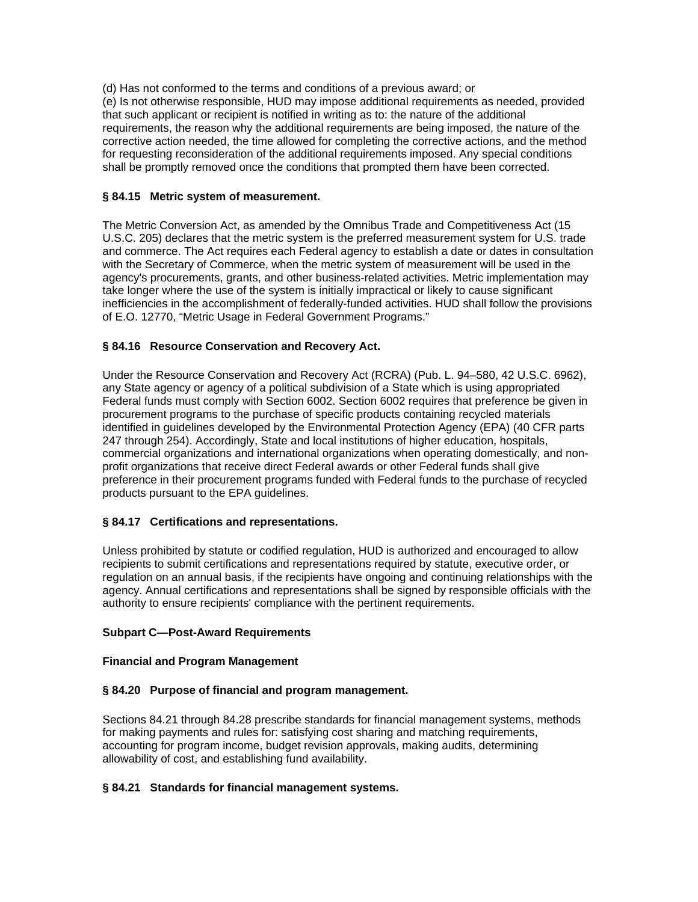(d) Has not conformed to the terms and conditions of a previous award; or (e) Is not otherwise responsible, HUD may impose additional requirements as needed, provided that such applicant or recipient is notified in writing as to: the nature of the additional requirements, the reason why the additional requirements are being imposed, the nature of the corrective action needed, the time allowed for completing the corrective actions, and the method for requesting reconsideration of the additional requirements imposed. Any special conditions shall be promptly removed once the conditions that prompted them have been corrected.

### **§ 84.15 Metric system of measurement.**

The Metric Conversion Act, as amended by the Omnibus Trade and Competitiveness Act (15 U.S.C. 205) declares that the metric system is the preferred measurement system for U.S. trade and commerce. The Act requires each Federal agency to establish a date or dates in consultation with the Secretary of Commerce, when the metric system of measurement will be used in the agency's procurements, grants, and other business-related activities. Metric implementation may take longer where the use of the system is initially impractical or likely to cause significant inefficiencies in the accomplishment of federally-funded activities. HUD shall follow the provisions of E.O. 12770, "Metric Usage in Federal Government Programs."

# **§ 84.16 Resource Conservation and Recovery Act.**

Under the Resource Conservation and Recovery Act (RCRA) (Pub. L. 94–580, 42 U.S.C. 6962), any State agency or agency of a political subdivision of a State which is using appropriated Federal funds must comply with Section 6002. Section 6002 requires that preference be given in procurement programs to the purchase of specific products containing recycled materials identified in guidelines developed by the Environmental Protection Agency (EPA) (40 CFR parts 247 through 254). Accordingly, State and local institutions of higher education, hospitals, commercial organizations and international organizations when operating domestically, and nonprofit organizations that receive direct Federal awards or other Federal funds shall give preference in their procurement programs funded with Federal funds to the purchase of recycled products pursuant to the EPA guidelines.

### **§ 84.17 Certifications and representations.**

Unless prohibited by statute or codified regulation, HUD is authorized and encouraged to allow recipients to submit certifications and representations required by statute, executive order, or regulation on an annual basis, if the recipients have ongoing and continuing relationships with the agency. Annual certifications and representations shall be signed by responsible officials with the authority to ensure recipients' compliance with the pertinent requirements.

### **Subpart C—Post-Award Requirements**

### **Financial and Program Management**

### **§ 84.20 Purpose of financial and program management.**

Sections 84.21 through 84.28 prescribe standards for financial management systems, methods for making payments and rules for: satisfying cost sharing and matching requirements, accounting for program income, budget revision approvals, making audits, determining allowability of cost, and establishing fund availability.

### **§ 84.21 Standards for financial management systems.**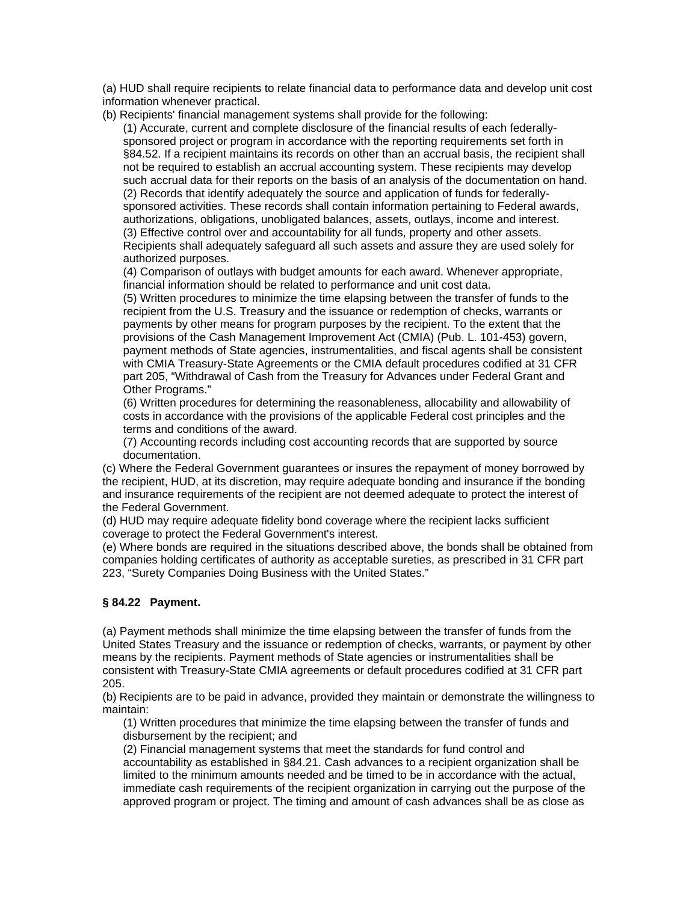(a) HUD shall require recipients to relate financial data to performance data and develop unit cost information whenever practical.

(b) Recipients' financial management systems shall provide for the following:

(1) Accurate, current and complete disclosure of the financial results of each federallysponsored project or program in accordance with the reporting requirements set forth in §84.52. If a recipient maintains its records on other than an accrual basis, the recipient shall not be required to establish an accrual accounting system. These recipients may develop such accrual data for their reports on the basis of an analysis of the documentation on hand. (2) Records that identify adequately the source and application of funds for federallysponsored activities. These records shall contain information pertaining to Federal awards, authorizations, obligations, unobligated balances, assets, outlays, income and interest. (3) Effective control over and accountability for all funds, property and other assets. Recipients shall adequately safeguard all such assets and assure they are used solely for authorized purposes.

(4) Comparison of outlays with budget amounts for each award. Whenever appropriate, financial information should be related to performance and unit cost data.

(5) Written procedures to minimize the time elapsing between the transfer of funds to the recipient from the U.S. Treasury and the issuance or redemption of checks, warrants or payments by other means for program purposes by the recipient. To the extent that the provisions of the Cash Management Improvement Act (CMIA) (Pub. L. 101-453) govern, payment methods of State agencies, instrumentalities, and fiscal agents shall be consistent with CMIA Treasury-State Agreements or the CMIA default procedures codified at 31 CFR part 205, "Withdrawal of Cash from the Treasury for Advances under Federal Grant and Other Programs."

(6) Written procedures for determining the reasonableness, allocability and allowability of costs in accordance with the provisions of the applicable Federal cost principles and the terms and conditions of the award.

(7) Accounting records including cost accounting records that are supported by source documentation.

(c) Where the Federal Government guarantees or insures the repayment of money borrowed by the recipient, HUD, at its discretion, may require adequate bonding and insurance if the bonding and insurance requirements of the recipient are not deemed adequate to protect the interest of the Federal Government.

(d) HUD may require adequate fidelity bond coverage where the recipient lacks sufficient coverage to protect the Federal Government's interest.

(e) Where bonds are required in the situations described above, the bonds shall be obtained from companies holding certificates of authority as acceptable sureties, as prescribed in 31 CFR part 223, "Surety Companies Doing Business with the United States."

### **§ 84.22 Payment.**

(a) Payment methods shall minimize the time elapsing between the transfer of funds from the United States Treasury and the issuance or redemption of checks, warrants, or payment by other means by the recipients. Payment methods of State agencies or instrumentalities shall be consistent with Treasury-State CMIA agreements or default procedures codified at 31 CFR part 205.

(b) Recipients are to be paid in advance, provided they maintain or demonstrate the willingness to maintain:

(1) Written procedures that minimize the time elapsing between the transfer of funds and disbursement by the recipient; and

(2) Financial management systems that meet the standards for fund control and accountability as established in §84.21. Cash advances to a recipient organization shall be limited to the minimum amounts needed and be timed to be in accordance with the actual, immediate cash requirements of the recipient organization in carrying out the purpose of the approved program or project. The timing and amount of cash advances shall be as close as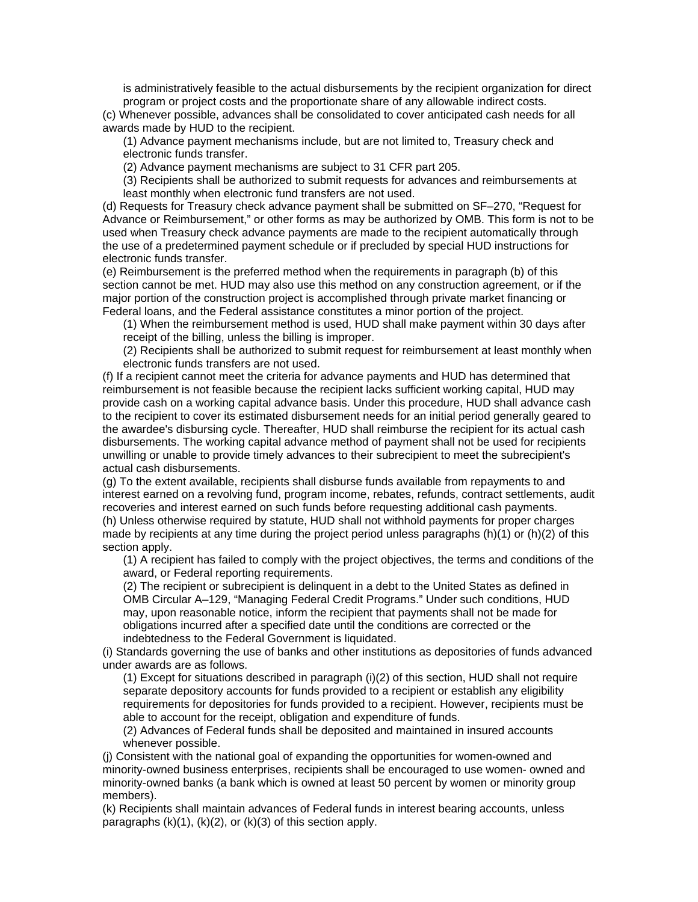is administratively feasible to the actual disbursements by the recipient organization for direct program or project costs and the proportionate share of any allowable indirect costs.

(c) Whenever possible, advances shall be consolidated to cover anticipated cash needs for all awards made by HUD to the recipient.

(1) Advance payment mechanisms include, but are not limited to, Treasury check and electronic funds transfer.

(2) Advance payment mechanisms are subject to 31 CFR part 205.

(3) Recipients shall be authorized to submit requests for advances and reimbursements at least monthly when electronic fund transfers are not used.

(d) Requests for Treasury check advance payment shall be submitted on SF–270, "Request for Advance or Reimbursement," or other forms as may be authorized by OMB. This form is not to be used when Treasury check advance payments are made to the recipient automatically through the use of a predetermined payment schedule or if precluded by special HUD instructions for electronic funds transfer.

(e) Reimbursement is the preferred method when the requirements in paragraph (b) of this section cannot be met. HUD may also use this method on any construction agreement, or if the major portion of the construction project is accomplished through private market financing or Federal loans, and the Federal assistance constitutes a minor portion of the project.

(1) When the reimbursement method is used, HUD shall make payment within 30 days after receipt of the billing, unless the billing is improper.

(2) Recipients shall be authorized to submit request for reimbursement at least monthly when electronic funds transfers are not used.

(f) If a recipient cannot meet the criteria for advance payments and HUD has determined that reimbursement is not feasible because the recipient lacks sufficient working capital, HUD may provide cash on a working capital advance basis. Under this procedure, HUD shall advance cash to the recipient to cover its estimated disbursement needs for an initial period generally geared to the awardee's disbursing cycle. Thereafter, HUD shall reimburse the recipient for its actual cash disbursements. The working capital advance method of payment shall not be used for recipients unwilling or unable to provide timely advances to their subrecipient to meet the subrecipient's actual cash disbursements.

(g) To the extent available, recipients shall disburse funds available from repayments to and interest earned on a revolving fund, program income, rebates, refunds, contract settlements, audit recoveries and interest earned on such funds before requesting additional cash payments. (h) Unless otherwise required by statute, HUD shall not withhold payments for proper charges made by recipients at any time during the project period unless paragraphs  $(h)(1)$  or  $(h)(2)$  of this section apply.

(1) A recipient has failed to comply with the project objectives, the terms and conditions of the award, or Federal reporting requirements.

(2) The recipient or subrecipient is delinquent in a debt to the United States as defined in OMB Circular A–129, "Managing Federal Credit Programs." Under such conditions, HUD may, upon reasonable notice, inform the recipient that payments shall not be made for obligations incurred after a specified date until the conditions are corrected or the indebtedness to the Federal Government is liquidated.

(i) Standards governing the use of banks and other institutions as depositories of funds advanced under awards are as follows.

(1) Except for situations described in paragraph (i)(2) of this section, HUD shall not require separate depository accounts for funds provided to a recipient or establish any eligibility requirements for depositories for funds provided to a recipient. However, recipients must be able to account for the receipt, obligation and expenditure of funds.

(2) Advances of Federal funds shall be deposited and maintained in insured accounts whenever possible.

(j) Consistent with the national goal of expanding the opportunities for women-owned and minority-owned business enterprises, recipients shall be encouraged to use women- owned and minority-owned banks (a bank which is owned at least 50 percent by women or minority group members).

(k) Recipients shall maintain advances of Federal funds in interest bearing accounts, unless paragraphs  $(k)(1)$ ,  $(k)(2)$ , or  $(k)(3)$  of this section apply.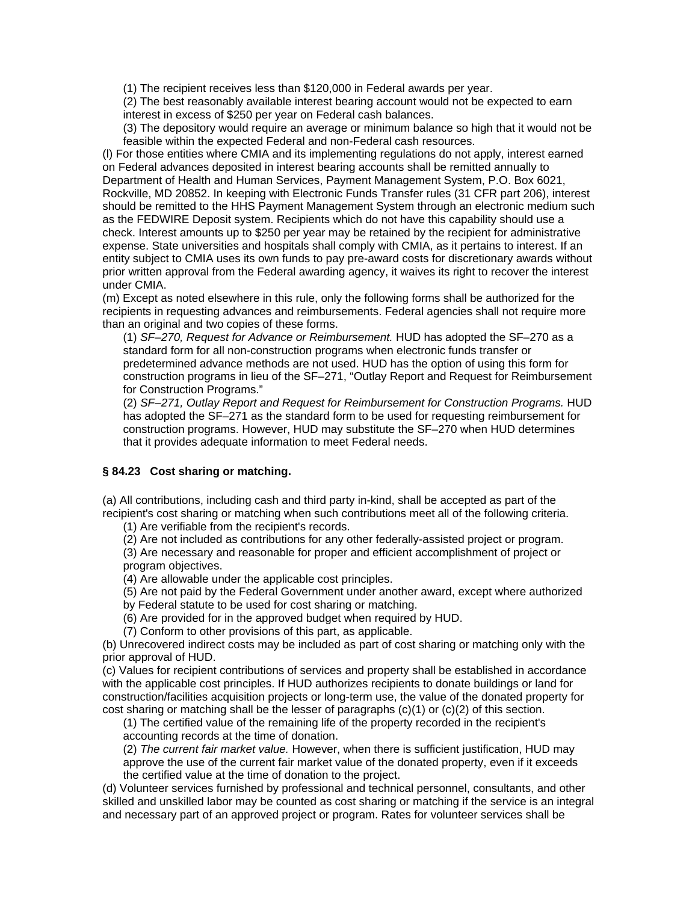(1) The recipient receives less than \$120,000 in Federal awards per year.

(2) The best reasonably available interest bearing account would not be expected to earn interest in excess of \$250 per year on Federal cash balances.

(3) The depository would require an average or minimum balance so high that it would not be feasible within the expected Federal and non-Federal cash resources.

(l) For those entities where CMIA and its implementing regulations do not apply, interest earned on Federal advances deposited in interest bearing accounts shall be remitted annually to Department of Health and Human Services, Payment Management System, P.O. Box 6021, Rockville, MD 20852. In keeping with Electronic Funds Transfer rules (31 CFR part 206), interest should be remitted to the HHS Payment Management System through an electronic medium such as the FEDWIRE Deposit system. Recipients which do not have this capability should use a check. Interest amounts up to \$250 per year may be retained by the recipient for administrative expense. State universities and hospitals shall comply with CMIA, as it pertains to interest. If an entity subject to CMIA uses its own funds to pay pre-award costs for discretionary awards without prior written approval from the Federal awarding agency, it waives its right to recover the interest under CMIA.

(m) Except as noted elsewhere in this rule, only the following forms shall be authorized for the recipients in requesting advances and reimbursements. Federal agencies shall not require more than an original and two copies of these forms.

(1) *SF–270, Request for Advance or Reimbursement.* HUD has adopted the SF–270 as a standard form for all non-construction programs when electronic funds transfer or predetermined advance methods are not used. HUD has the option of using this form for construction programs in lieu of the SF–271, "Outlay Report and Request for Reimbursement for Construction Programs."

(2) *SF–271, Outlay Report and Request for Reimbursement for Construction Programs.* HUD has adopted the SF–271 as the standard form to be used for requesting reimbursement for construction programs. However, HUD may substitute the SF–270 when HUD determines that it provides adequate information to meet Federal needs.

### **§ 84.23 Cost sharing or matching.**

(a) All contributions, including cash and third party in-kind, shall be accepted as part of the recipient's cost sharing or matching when such contributions meet all of the following criteria.

(1) Are verifiable from the recipient's records.

(2) Are not included as contributions for any other federally-assisted project or program.

(3) Are necessary and reasonable for proper and efficient accomplishment of project or program objectives.

(4) Are allowable under the applicable cost principles.

(5) Are not paid by the Federal Government under another award, except where authorized by Federal statute to be used for cost sharing or matching.

(6) Are provided for in the approved budget when required by HUD.

(7) Conform to other provisions of this part, as applicable.

(b) Unrecovered indirect costs may be included as part of cost sharing or matching only with the prior approval of HUD.

(c) Values for recipient contributions of services and property shall be established in accordance with the applicable cost principles. If HUD authorizes recipients to donate buildings or land for construction/facilities acquisition projects or long-term use, the value of the donated property for cost sharing or matching shall be the lesser of paragraphs  $(c)(1)$  or  $(c)(2)$  of this section.

(1) The certified value of the remaining life of the property recorded in the recipient's accounting records at the time of donation.

(2) *The current fair market value.* However, when there is sufficient justification, HUD may approve the use of the current fair market value of the donated property, even if it exceeds the certified value at the time of donation to the project.

(d) Volunteer services furnished by professional and technical personnel, consultants, and other skilled and unskilled labor may be counted as cost sharing or matching if the service is an integral and necessary part of an approved project or program. Rates for volunteer services shall be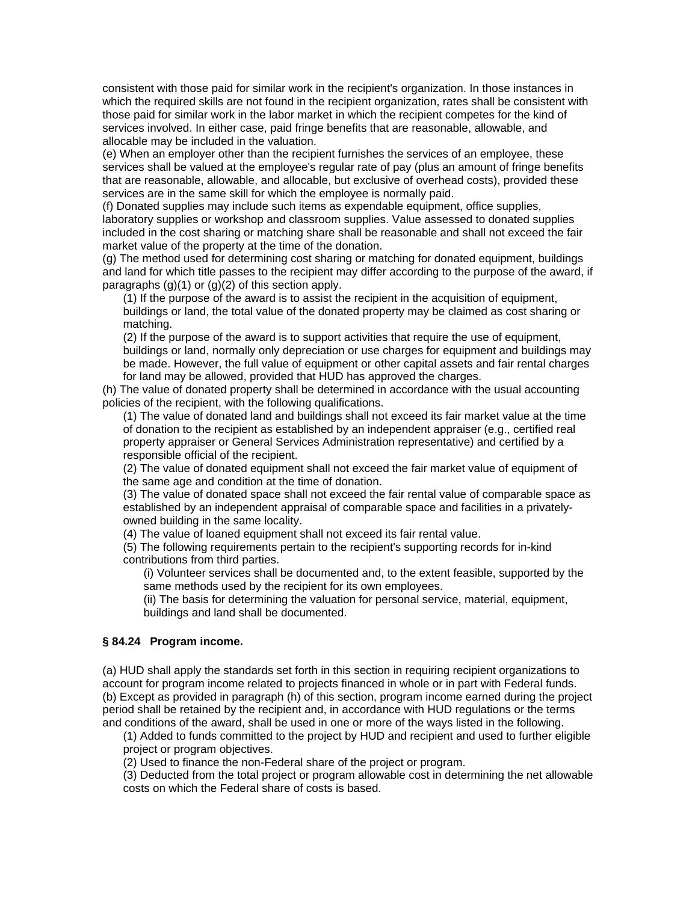consistent with those paid for similar work in the recipient's organization. In those instances in which the required skills are not found in the recipient organization, rates shall be consistent with those paid for similar work in the labor market in which the recipient competes for the kind of services involved. In either case, paid fringe benefits that are reasonable, allowable, and allocable may be included in the valuation.

(e) When an employer other than the recipient furnishes the services of an employee, these services shall be valued at the employee's regular rate of pay (plus an amount of fringe benefits that are reasonable, allowable, and allocable, but exclusive of overhead costs), provided these services are in the same skill for which the employee is normally paid.

(f) Donated supplies may include such items as expendable equipment, office supplies, laboratory supplies or workshop and classroom supplies. Value assessed to donated supplies included in the cost sharing or matching share shall be reasonable and shall not exceed the fair market value of the property at the time of the donation.

(g) The method used for determining cost sharing or matching for donated equipment, buildings and land for which title passes to the recipient may differ according to the purpose of the award, if paragraphs (g)(1) or (g)(2) of this section apply.

(1) If the purpose of the award is to assist the recipient in the acquisition of equipment, buildings or land, the total value of the donated property may be claimed as cost sharing or matching.

(2) If the purpose of the award is to support activities that require the use of equipment, buildings or land, normally only depreciation or use charges for equipment and buildings may be made. However, the full value of equipment or other capital assets and fair rental charges for land may be allowed, provided that HUD has approved the charges.

(h) The value of donated property shall be determined in accordance with the usual accounting policies of the recipient, with the following qualifications.

(1) The value of donated land and buildings shall not exceed its fair market value at the time of donation to the recipient as established by an independent appraiser (e.g., certified real property appraiser or General Services Administration representative) and certified by a responsible official of the recipient.

(2) The value of donated equipment shall not exceed the fair market value of equipment of the same age and condition at the time of donation.

(3) The value of donated space shall not exceed the fair rental value of comparable space as established by an independent appraisal of comparable space and facilities in a privatelyowned building in the same locality.

(4) The value of loaned equipment shall not exceed its fair rental value.

(5) The following requirements pertain to the recipient's supporting records for in-kind contributions from third parties.

(i) Volunteer services shall be documented and, to the extent feasible, supported by the same methods used by the recipient for its own employees.

(ii) The basis for determining the valuation for personal service, material, equipment, buildings and land shall be documented.

#### **§ 84.24 Program income.**

(a) HUD shall apply the standards set forth in this section in requiring recipient organizations to account for program income related to projects financed in whole or in part with Federal funds. (b) Except as provided in paragraph (h) of this section, program income earned during the project period shall be retained by the recipient and, in accordance with HUD regulations or the terms and conditions of the award, shall be used in one or more of the ways listed in the following.

(1) Added to funds committed to the project by HUD and recipient and used to further eligible project or program objectives.

(2) Used to finance the non-Federal share of the project or program.

(3) Deducted from the total project or program allowable cost in determining the net allowable costs on which the Federal share of costs is based.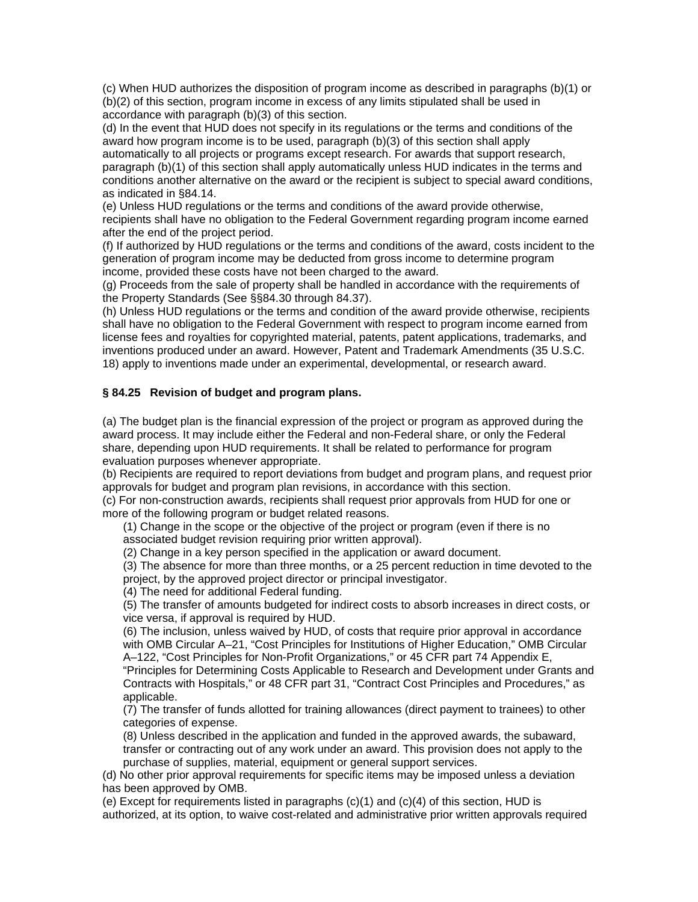(c) When HUD authorizes the disposition of program income as described in paragraphs (b)(1) or (b)(2) of this section, program income in excess of any limits stipulated shall be used in accordance with paragraph (b)(3) of this section.

(d) In the event that HUD does not specify in its regulations or the terms and conditions of the award how program income is to be used, paragraph (b)(3) of this section shall apply automatically to all projects or programs except research. For awards that support research, paragraph (b)(1) of this section shall apply automatically unless HUD indicates in the terms and conditions another alternative on the award or the recipient is subject to special award conditions, as indicated in §84.14.

(e) Unless HUD regulations or the terms and conditions of the award provide otherwise, recipients shall have no obligation to the Federal Government regarding program income earned after the end of the project period.

(f) If authorized by HUD regulations or the terms and conditions of the award, costs incident to the generation of program income may be deducted from gross income to determine program income, provided these costs have not been charged to the award.

(g) Proceeds from the sale of property shall be handled in accordance with the requirements of the Property Standards (See §§84.30 through 84.37).

(h) Unless HUD regulations or the terms and condition of the award provide otherwise, recipients shall have no obligation to the Federal Government with respect to program income earned from license fees and royalties for copyrighted material, patents, patent applications, trademarks, and inventions produced under an award. However, Patent and Trademark Amendments (35 U.S.C. 18) apply to inventions made under an experimental, developmental, or research award.

### **§ 84.25 Revision of budget and program plans.**

(a) The budget plan is the financial expression of the project or program as approved during the award process. It may include either the Federal and non-Federal share, or only the Federal share, depending upon HUD requirements. It shall be related to performance for program evaluation purposes whenever appropriate.

(b) Recipients are required to report deviations from budget and program plans, and request prior approvals for budget and program plan revisions, in accordance with this section.

(c) For non-construction awards, recipients shall request prior approvals from HUD for one or more of the following program or budget related reasons.

(1) Change in the scope or the objective of the project or program (even if there is no associated budget revision requiring prior written approval).

(2) Change in a key person specified in the application or award document.

(3) The absence for more than three months, or a 25 percent reduction in time devoted to the project, by the approved project director or principal investigator.

(4) The need for additional Federal funding.

(5) The transfer of amounts budgeted for indirect costs to absorb increases in direct costs, or vice versa, if approval is required by HUD.

(6) The inclusion, unless waived by HUD, of costs that require prior approval in accordance with OMB Circular A–21, "Cost Principles for Institutions of Higher Education," OMB Circular A–122, "Cost Principles for Non-Profit Organizations," or 45 CFR part 74 Appendix E,

"Principles for Determining Costs Applicable to Research and Development under Grants and Contracts with Hospitals," or 48 CFR part 31, "Contract Cost Principles and Procedures," as applicable.

(7) The transfer of funds allotted for training allowances (direct payment to trainees) to other categories of expense.

(8) Unless described in the application and funded in the approved awards, the subaward, transfer or contracting out of any work under an award. This provision does not apply to the purchase of supplies, material, equipment or general support services.

(d) No other prior approval requirements for specific items may be imposed unless a deviation has been approved by OMB.

(e) Except for requirements listed in paragraphs (c)(1) and (c)(4) of this section, HUD is authorized, at its option, to waive cost-related and administrative prior written approvals required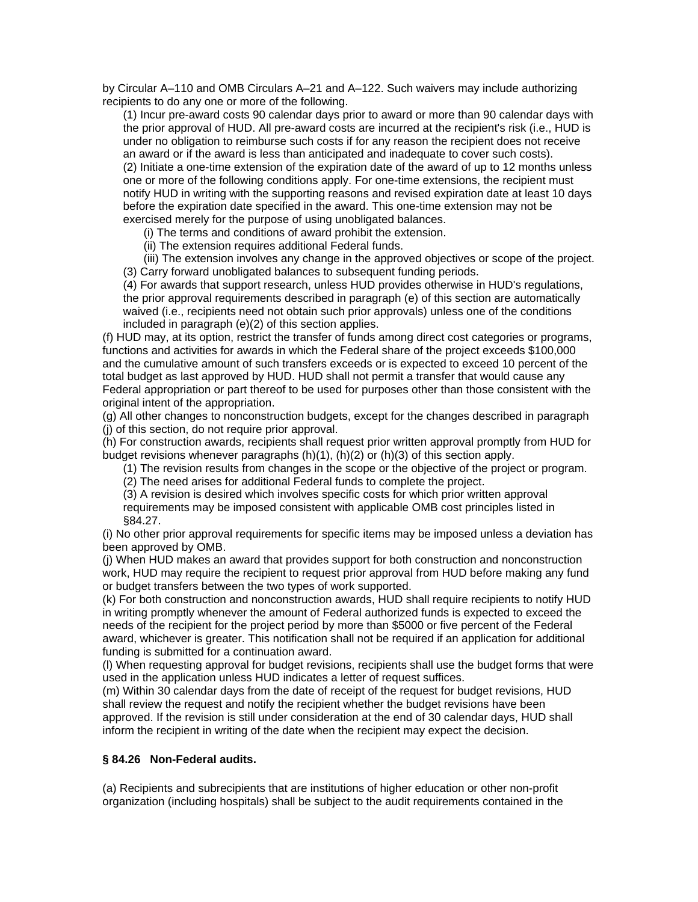by Circular A–110 and OMB Circulars A–21 and A–122. Such waivers may include authorizing recipients to do any one or more of the following.

(1) Incur pre-award costs 90 calendar days prior to award or more than 90 calendar days with the prior approval of HUD. All pre-award costs are incurred at the recipient's risk (i.e., HUD is under no obligation to reimburse such costs if for any reason the recipient does not receive an award or if the award is less than anticipated and inadequate to cover such costs). (2) Initiate a one-time extension of the expiration date of the award of up to 12 months unless one or more of the following conditions apply. For one-time extensions, the recipient must notify HUD in writing with the supporting reasons and revised expiration date at least 10 days before the expiration date specified in the award. This one-time extension may not be exercised merely for the purpose of using unobligated balances.

(i) The terms and conditions of award prohibit the extension.

(ii) The extension requires additional Federal funds.

(iii) The extension involves any change in the approved objectives or scope of the project. (3) Carry forward unobligated balances to subsequent funding periods.

(4) For awards that support research, unless HUD provides otherwise in HUD's regulations, the prior approval requirements described in paragraph (e) of this section are automatically waived (i.e., recipients need not obtain such prior approvals) unless one of the conditions included in paragraph (e)(2) of this section applies.

(f) HUD may, at its option, restrict the transfer of funds among direct cost categories or programs, functions and activities for awards in which the Federal share of the project exceeds \$100,000 and the cumulative amount of such transfers exceeds or is expected to exceed 10 percent of the total budget as last approved by HUD. HUD shall not permit a transfer that would cause any Federal appropriation or part thereof to be used for purposes other than those consistent with the original intent of the appropriation.

(g) All other changes to nonconstruction budgets, except for the changes described in paragraph (j) of this section, do not require prior approval.

(h) For construction awards, recipients shall request prior written approval promptly from HUD for budget revisions whenever paragraphs  $(h)(1)$ ,  $(h)(2)$  or  $(h)(3)$  of this section apply.

(1) The revision results from changes in the scope or the objective of the project or program.

(2) The need arises for additional Federal funds to complete the project.

(3) A revision is desired which involves specific costs for which prior written approval requirements may be imposed consistent with applicable OMB cost principles listed in §84.27.

(i) No other prior approval requirements for specific items may be imposed unless a deviation has been approved by OMB.

(j) When HUD makes an award that provides support for both construction and nonconstruction work, HUD may require the recipient to request prior approval from HUD before making any fund or budget transfers between the two types of work supported.

(k) For both construction and nonconstruction awards, HUD shall require recipients to notify HUD in writing promptly whenever the amount of Federal authorized funds is expected to exceed the needs of the recipient for the project period by more than \$5000 or five percent of the Federal award, whichever is greater. This notification shall not be required if an application for additional funding is submitted for a continuation award.

(l) When requesting approval for budget revisions, recipients shall use the budget forms that were used in the application unless HUD indicates a letter of request suffices.

(m) Within 30 calendar days from the date of receipt of the request for budget revisions, HUD shall review the request and notify the recipient whether the budget revisions have been approved. If the revision is still under consideration at the end of 30 calendar days, HUD shall inform the recipient in writing of the date when the recipient may expect the decision.

#### **§ 84.26 Non-Federal audits.**

(a) Recipients and subrecipients that are institutions of higher education or other non-profit organization (including hospitals) shall be subject to the audit requirements contained in the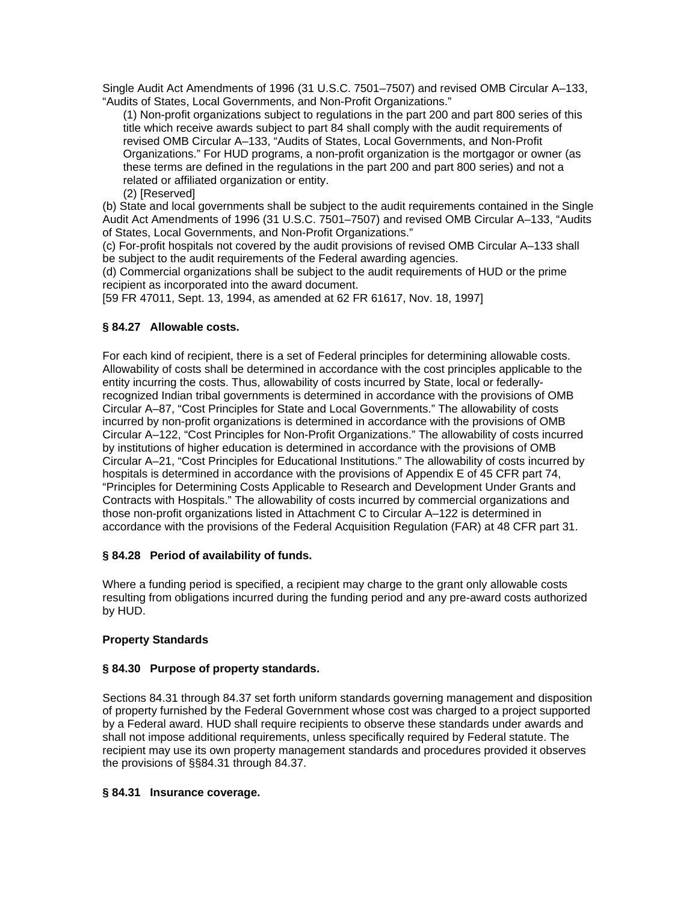Single Audit Act Amendments of 1996 (31 U.S.C. 7501–7507) and revised OMB Circular A–133, "Audits of States, Local Governments, and Non-Profit Organizations."

(1) Non-profit organizations subject to regulations in the part 200 and part 800 series of this title which receive awards subject to part 84 shall comply with the audit requirements of revised OMB Circular A–133, "Audits of States, Local Governments, and Non-Profit Organizations." For HUD programs, a non-profit organization is the mortgagor or owner (as these terms are defined in the regulations in the part 200 and part 800 series) and not a related or affiliated organization or entity.

(2) [Reserved]

(b) State and local governments shall be subject to the audit requirements contained in the Single Audit Act Amendments of 1996 (31 U.S.C. 7501–7507) and revised OMB Circular A–133, "Audits of States, Local Governments, and Non-Profit Organizations."

(c) For-profit hospitals not covered by the audit provisions of revised OMB Circular A–133 shall be subject to the audit requirements of the Federal awarding agencies.

(d) Commercial organizations shall be subject to the audit requirements of HUD or the prime recipient as incorporated into the award document.

[59 FR 47011, Sept. 13, 1994, as amended at 62 FR 61617, Nov. 18, 1997]

### **§ 84.27 Allowable costs.**

For each kind of recipient, there is a set of Federal principles for determining allowable costs. Allowability of costs shall be determined in accordance with the cost principles applicable to the entity incurring the costs. Thus, allowability of costs incurred by State, local or federallyrecognized Indian tribal governments is determined in accordance with the provisions of OMB Circular A–87, "Cost Principles for State and Local Governments." The allowability of costs incurred by non-profit organizations is determined in accordance with the provisions of OMB Circular A–122, "Cost Principles for Non-Profit Organizations." The allowability of costs incurred by institutions of higher education is determined in accordance with the provisions of OMB Circular A–21, "Cost Principles for Educational Institutions." The allowability of costs incurred by hospitals is determined in accordance with the provisions of Appendix E of 45 CFR part 74, "Principles for Determining Costs Applicable to Research and Development Under Grants and Contracts with Hospitals." The allowability of costs incurred by commercial organizations and those non-profit organizations listed in Attachment C to Circular A–122 is determined in accordance with the provisions of the Federal Acquisition Regulation (FAR) at 48 CFR part 31.

### **§ 84.28 Period of availability of funds.**

Where a funding period is specified, a recipient may charge to the grant only allowable costs resulting from obligations incurred during the funding period and any pre-award costs authorized by HUD.

### **Property Standards**

### **§ 84.30 Purpose of property standards.**

Sections 84.31 through 84.37 set forth uniform standards governing management and disposition of property furnished by the Federal Government whose cost was charged to a project supported by a Federal award. HUD shall require recipients to observe these standards under awards and shall not impose additional requirements, unless specifically required by Federal statute. The recipient may use its own property management standards and procedures provided it observes the provisions of §§84.31 through 84.37.

#### **§ 84.31 Insurance coverage.**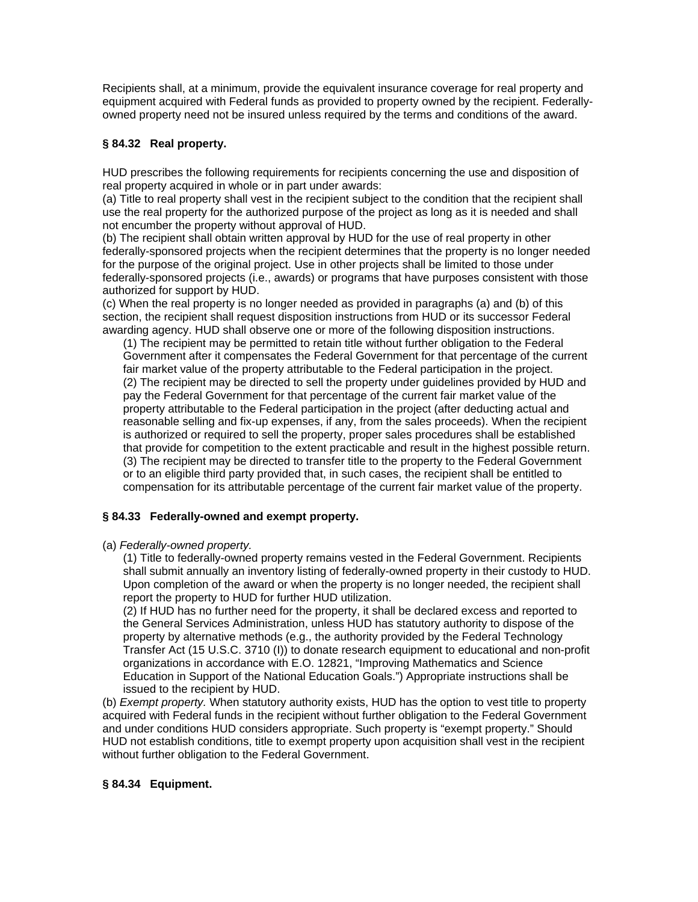Recipients shall, at a minimum, provide the equivalent insurance coverage for real property and equipment acquired with Federal funds as provided to property owned by the recipient. Federallyowned property need not be insured unless required by the terms and conditions of the award.

### **§ 84.32 Real property.**

HUD prescribes the following requirements for recipients concerning the use and disposition of real property acquired in whole or in part under awards:

(a) Title to real property shall vest in the recipient subject to the condition that the recipient shall use the real property for the authorized purpose of the project as long as it is needed and shall not encumber the property without approval of HUD.

(b) The recipient shall obtain written approval by HUD for the use of real property in other federally-sponsored projects when the recipient determines that the property is no longer needed for the purpose of the original project. Use in other projects shall be limited to those under federally-sponsored projects (i.e., awards) or programs that have purposes consistent with those authorized for support by HUD.

(c) When the real property is no longer needed as provided in paragraphs (a) and (b) of this section, the recipient shall request disposition instructions from HUD or its successor Federal awarding agency. HUD shall observe one or more of the following disposition instructions.

(1) The recipient may be permitted to retain title without further obligation to the Federal Government after it compensates the Federal Government for that percentage of the current fair market value of the property attributable to the Federal participation in the project. (2) The recipient may be directed to sell the property under guidelines provided by HUD and pay the Federal Government for that percentage of the current fair market value of the property attributable to the Federal participation in the project (after deducting actual and reasonable selling and fix-up expenses, if any, from the sales proceeds). When the recipient is authorized or required to sell the property, proper sales procedures shall be established that provide for competition to the extent practicable and result in the highest possible return. (3) The recipient may be directed to transfer title to the property to the Federal Government or to an eligible third party provided that, in such cases, the recipient shall be entitled to compensation for its attributable percentage of the current fair market value of the property.

### **§ 84.33 Federally-owned and exempt property.**

#### (a) *Federally-owned property.*

(1) Title to federally-owned property remains vested in the Federal Government. Recipients shall submit annually an inventory listing of federally-owned property in their custody to HUD. Upon completion of the award or when the property is no longer needed, the recipient shall report the property to HUD for further HUD utilization.

(2) If HUD has no further need for the property, it shall be declared excess and reported to the General Services Administration, unless HUD has statutory authority to dispose of the property by alternative methods (e.g., the authority provided by the Federal Technology Transfer Act (15 U.S.C. 3710 (I)) to donate research equipment to educational and non-profit organizations in accordance with E.O. 12821, "Improving Mathematics and Science Education in Support of the National Education Goals.") Appropriate instructions shall be issued to the recipient by HUD.

(b) *Exempt property.* When statutory authority exists, HUD has the option to vest title to property acquired with Federal funds in the recipient without further obligation to the Federal Government and under conditions HUD considers appropriate. Such property is "exempt property." Should HUD not establish conditions, title to exempt property upon acquisition shall vest in the recipient without further obligation to the Federal Government.

### **§ 84.34 Equipment.**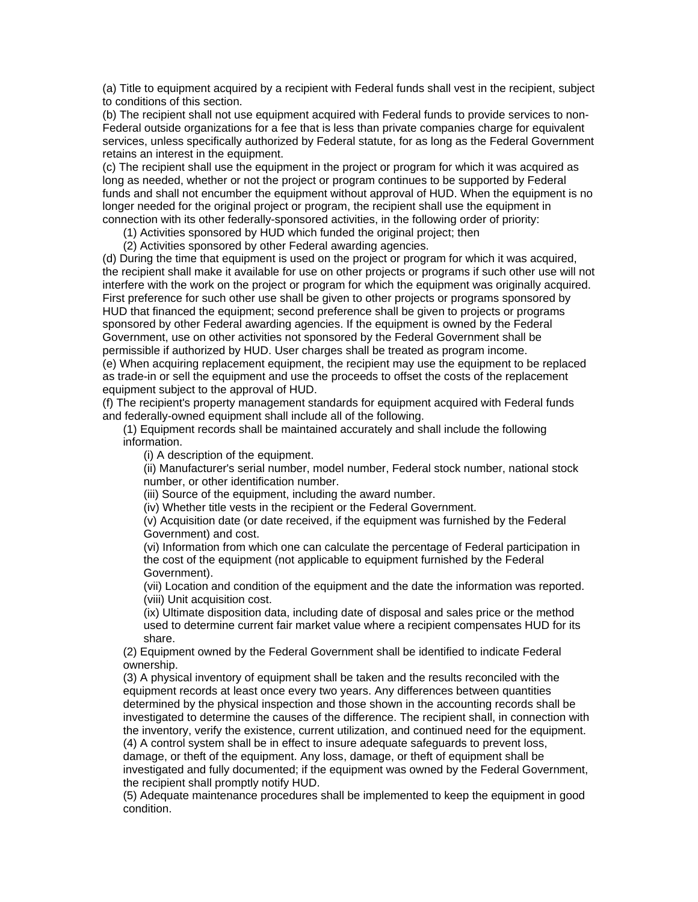(a) Title to equipment acquired by a recipient with Federal funds shall vest in the recipient, subject to conditions of this section.

(b) The recipient shall not use equipment acquired with Federal funds to provide services to non-Federal outside organizations for a fee that is less than private companies charge for equivalent services, unless specifically authorized by Federal statute, for as long as the Federal Government retains an interest in the equipment.

(c) The recipient shall use the equipment in the project or program for which it was acquired as long as needed, whether or not the project or program continues to be supported by Federal funds and shall not encumber the equipment without approval of HUD. When the equipment is no longer needed for the original project or program, the recipient shall use the equipment in connection with its other federally-sponsored activities, in the following order of priority:

(1) Activities sponsored by HUD which funded the original project; then

(2) Activities sponsored by other Federal awarding agencies.

(d) During the time that equipment is used on the project or program for which it was acquired, the recipient shall make it available for use on other projects or programs if such other use will not interfere with the work on the project or program for which the equipment was originally acquired. First preference for such other use shall be given to other projects or programs sponsored by HUD that financed the equipment; second preference shall be given to projects or programs sponsored by other Federal awarding agencies. If the equipment is owned by the Federal Government, use on other activities not sponsored by the Federal Government shall be permissible if authorized by HUD. User charges shall be treated as program income. (e) When acquiring replacement equipment, the recipient may use the equipment to be replaced as trade-in or sell the equipment and use the proceeds to offset the costs of the replacement equipment subject to the approval of HUD.

(f) The recipient's property management standards for equipment acquired with Federal funds and federally-owned equipment shall include all of the following.

(1) Equipment records shall be maintained accurately and shall include the following information.

(i) A description of the equipment.

(ii) Manufacturer's serial number, model number, Federal stock number, national stock number, or other identification number.

(iii) Source of the equipment, including the award number.

(iv) Whether title vests in the recipient or the Federal Government.

(v) Acquisition date (or date received, if the equipment was furnished by the Federal Government) and cost.

(vi) Information from which one can calculate the percentage of Federal participation in the cost of the equipment (not applicable to equipment furnished by the Federal Government).

(vii) Location and condition of the equipment and the date the information was reported. (viii) Unit acquisition cost.

(ix) Ultimate disposition data, including date of disposal and sales price or the method used to determine current fair market value where a recipient compensates HUD for its share.

(2) Equipment owned by the Federal Government shall be identified to indicate Federal ownership.

(3) A physical inventory of equipment shall be taken and the results reconciled with the equipment records at least once every two years. Any differences between quantities determined by the physical inspection and those shown in the accounting records shall be investigated to determine the causes of the difference. The recipient shall, in connection with the inventory, verify the existence, current utilization, and continued need for the equipment. (4) A control system shall be in effect to insure adequate safeguards to prevent loss,

damage, or theft of the equipment. Any loss, damage, or theft of equipment shall be investigated and fully documented; if the equipment was owned by the Federal Government, the recipient shall promptly notify HUD.

(5) Adequate maintenance procedures shall be implemented to keep the equipment in good condition.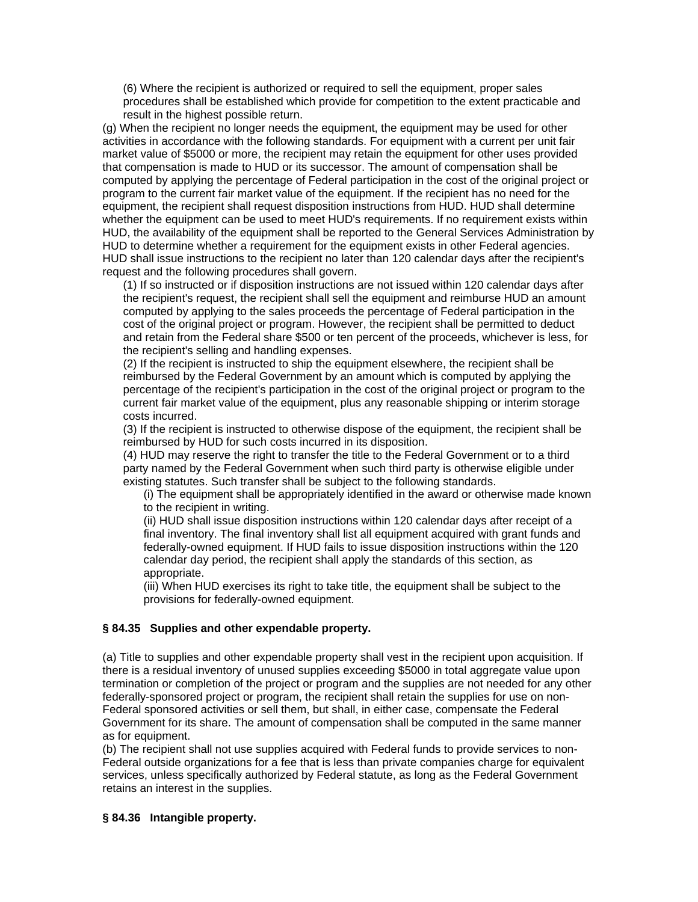(6) Where the recipient is authorized or required to sell the equipment, proper sales procedures shall be established which provide for competition to the extent practicable and result in the highest possible return.

(g) When the recipient no longer needs the equipment, the equipment may be used for other activities in accordance with the following standards. For equipment with a current per unit fair market value of \$5000 or more, the recipient may retain the equipment for other uses provided that compensation is made to HUD or its successor. The amount of compensation shall be computed by applying the percentage of Federal participation in the cost of the original project or program to the current fair market value of the equipment. If the recipient has no need for the equipment, the recipient shall request disposition instructions from HUD. HUD shall determine whether the equipment can be used to meet HUD's requirements. If no requirement exists within HUD, the availability of the equipment shall be reported to the General Services Administration by HUD to determine whether a requirement for the equipment exists in other Federal agencies. HUD shall issue instructions to the recipient no later than 120 calendar days after the recipient's request and the following procedures shall govern.

(1) If so instructed or if disposition instructions are not issued within 120 calendar days after the recipient's request, the recipient shall sell the equipment and reimburse HUD an amount computed by applying to the sales proceeds the percentage of Federal participation in the cost of the original project or program. However, the recipient shall be permitted to deduct and retain from the Federal share \$500 or ten percent of the proceeds, whichever is less, for the recipient's selling and handling expenses.

(2) If the recipient is instructed to ship the equipment elsewhere, the recipient shall be reimbursed by the Federal Government by an amount which is computed by applying the percentage of the recipient's participation in the cost of the original project or program to the current fair market value of the equipment, plus any reasonable shipping or interim storage costs incurred.

(3) If the recipient is instructed to otherwise dispose of the equipment, the recipient shall be reimbursed by HUD for such costs incurred in its disposition.

(4) HUD may reserve the right to transfer the title to the Federal Government or to a third party named by the Federal Government when such third party is otherwise eligible under existing statutes. Such transfer shall be subject to the following standards.

(i) The equipment shall be appropriately identified in the award or otherwise made known to the recipient in writing.

(ii) HUD shall issue disposition instructions within 120 calendar days after receipt of a final inventory. The final inventory shall list all equipment acquired with grant funds and federally-owned equipment. If HUD fails to issue disposition instructions within the 120 calendar day period, the recipient shall apply the standards of this section, as appropriate.

(iii) When HUD exercises its right to take title, the equipment shall be subject to the provisions for federally-owned equipment.

#### **§ 84.35 Supplies and other expendable property.**

(a) Title to supplies and other expendable property shall vest in the recipient upon acquisition. If there is a residual inventory of unused supplies exceeding \$5000 in total aggregate value upon termination or completion of the project or program and the supplies are not needed for any other federally-sponsored project or program, the recipient shall retain the supplies for use on non-Federal sponsored activities or sell them, but shall, in either case, compensate the Federal Government for its share. The amount of compensation shall be computed in the same manner as for equipment.

(b) The recipient shall not use supplies acquired with Federal funds to provide services to non-Federal outside organizations for a fee that is less than private companies charge for equivalent services, unless specifically authorized by Federal statute, as long as the Federal Government retains an interest in the supplies.

#### **§ 84.36 Intangible property.**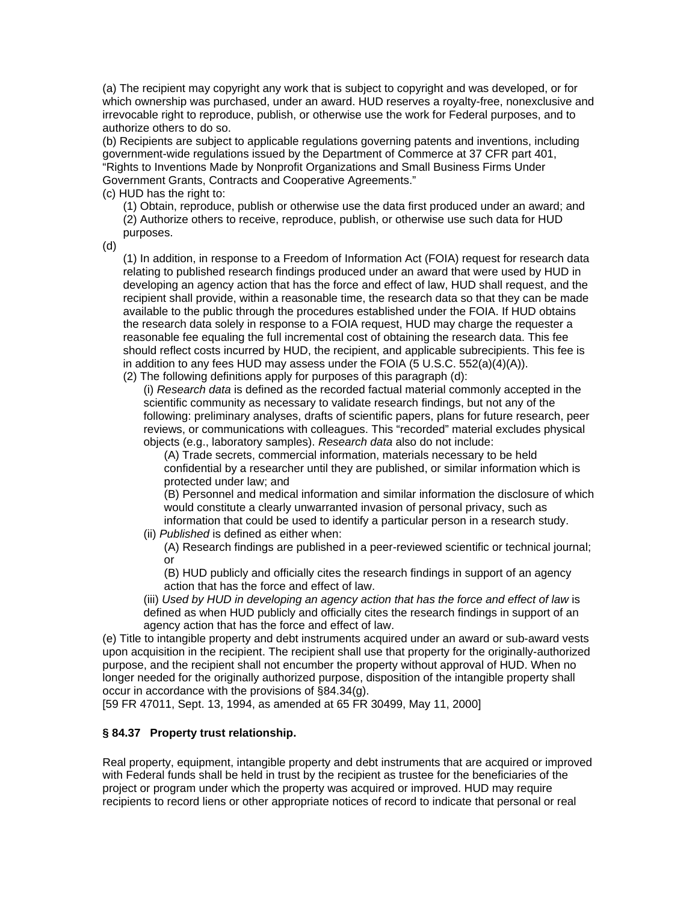(a) The recipient may copyright any work that is subject to copyright and was developed, or for which ownership was purchased, under an award. HUD reserves a royalty-free, nonexclusive and irrevocable right to reproduce, publish, or otherwise use the work for Federal purposes, and to authorize others to do so.

(b) Recipients are subject to applicable regulations governing patents and inventions, including government-wide regulations issued by the Department of Commerce at 37 CFR part 401, "Rights to Inventions Made by Nonprofit Organizations and Small Business Firms Under Government Grants, Contracts and Cooperative Agreements."

(c) HUD has the right to:

(1) Obtain, reproduce, publish or otherwise use the data first produced under an award; and (2) Authorize others to receive, reproduce, publish, or otherwise use such data for HUD purposes.

(d)

(1) In addition, in response to a Freedom of Information Act (FOIA) request for research data relating to published research findings produced under an award that were used by HUD in developing an agency action that has the force and effect of law, HUD shall request, and the recipient shall provide, within a reasonable time, the research data so that they can be made available to the public through the procedures established under the FOIA. If HUD obtains the research data solely in response to a FOIA request, HUD may charge the requester a reasonable fee equaling the full incremental cost of obtaining the research data. This fee should reflect costs incurred by HUD, the recipient, and applicable subrecipients. This fee is in addition to any fees HUD may assess under the FOIA (5 U.S.C.  $552(a)(4)(A)$ ).

(2) The following definitions apply for purposes of this paragraph (d):

(i) *Research data* is defined as the recorded factual material commonly accepted in the scientific community as necessary to validate research findings, but not any of the following: preliminary analyses, drafts of scientific papers, plans for future research, peer reviews, or communications with colleagues. This "recorded" material excludes physical objects (e.g., laboratory samples). *Research data* also do not include:

(A) Trade secrets, commercial information, materials necessary to be held confidential by a researcher until they are published, or similar information which is protected under law; and

(B) Personnel and medical information and similar information the disclosure of which would constitute a clearly unwarranted invasion of personal privacy, such as information that could be used to identify a particular person in a research study.

(ii) *Published* is defined as either when:

(A) Research findings are published in a peer-reviewed scientific or technical journal; or

(B) HUD publicly and officially cites the research findings in support of an agency action that has the force and effect of law.

(iii) *Used by HUD in developing an agency action that has the force and effect of law* is defined as when HUD publicly and officially cites the research findings in support of an agency action that has the force and effect of law.

(e) Title to intangible property and debt instruments acquired under an award or sub-award vests upon acquisition in the recipient. The recipient shall use that property for the originally-authorized purpose, and the recipient shall not encumber the property without approval of HUD. When no longer needed for the originally authorized purpose, disposition of the intangible property shall occur in accordance with the provisions of §84.34(g).

[59 FR 47011, Sept. 13, 1994, as amended at 65 FR 30499, May 11, 2000]

### **§ 84.37 Property trust relationship.**

Real property, equipment, intangible property and debt instruments that are acquired or improved with Federal funds shall be held in trust by the recipient as trustee for the beneficiaries of the project or program under which the property was acquired or improved. HUD may require recipients to record liens or other appropriate notices of record to indicate that personal or real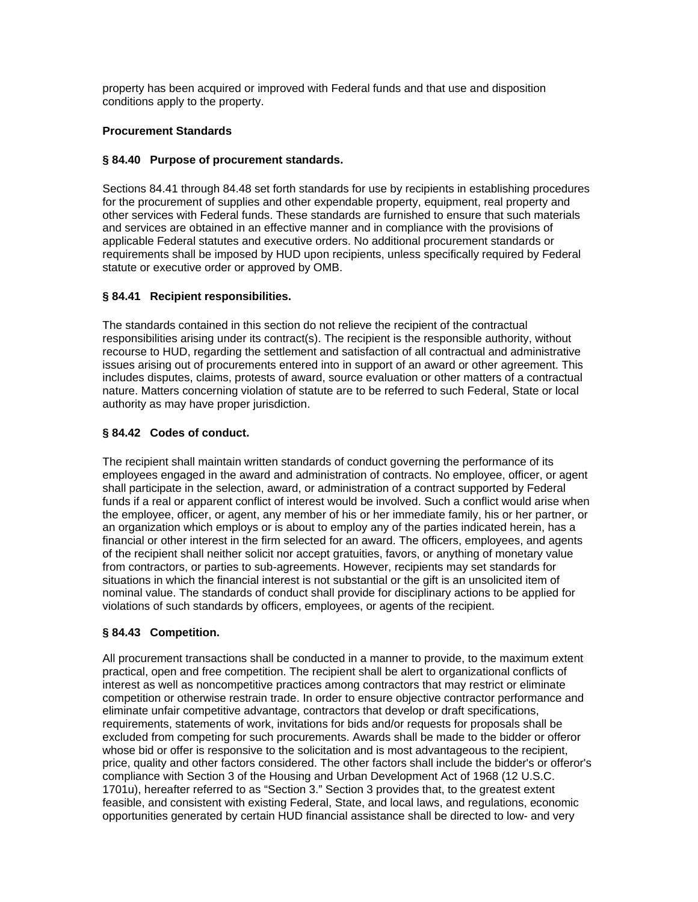property has been acquired or improved with Federal funds and that use and disposition conditions apply to the property.

### **Procurement Standards**

#### **§ 84.40 Purpose of procurement standards.**

Sections 84.41 through 84.48 set forth standards for use by recipients in establishing procedures for the procurement of supplies and other expendable property, equipment, real property and other services with Federal funds. These standards are furnished to ensure that such materials and services are obtained in an effective manner and in compliance with the provisions of applicable Federal statutes and executive orders. No additional procurement standards or requirements shall be imposed by HUD upon recipients, unless specifically required by Federal statute or executive order or approved by OMB.

### **§ 84.41 Recipient responsibilities.**

The standards contained in this section do not relieve the recipient of the contractual responsibilities arising under its contract(s). The recipient is the responsible authority, without recourse to HUD, regarding the settlement and satisfaction of all contractual and administrative issues arising out of procurements entered into in support of an award or other agreement. This includes disputes, claims, protests of award, source evaluation or other matters of a contractual nature. Matters concerning violation of statute are to be referred to such Federal, State or local authority as may have proper jurisdiction.

### **§ 84.42 Codes of conduct.**

The recipient shall maintain written standards of conduct governing the performance of its employees engaged in the award and administration of contracts. No employee, officer, or agent shall participate in the selection, award, or administration of a contract supported by Federal funds if a real or apparent conflict of interest would be involved. Such a conflict would arise when the employee, officer, or agent, any member of his or her immediate family, his or her partner, or an organization which employs or is about to employ any of the parties indicated herein, has a financial or other interest in the firm selected for an award. The officers, employees, and agents of the recipient shall neither solicit nor accept gratuities, favors, or anything of monetary value from contractors, or parties to sub-agreements. However, recipients may set standards for situations in which the financial interest is not substantial or the gift is an unsolicited item of nominal value. The standards of conduct shall provide for disciplinary actions to be applied for violations of such standards by officers, employees, or agents of the recipient.

# **§ 84.43 Competition.**

All procurement transactions shall be conducted in a manner to provide, to the maximum extent practical, open and free competition. The recipient shall be alert to organizational conflicts of interest as well as noncompetitive practices among contractors that may restrict or eliminate competition or otherwise restrain trade. In order to ensure objective contractor performance and eliminate unfair competitive advantage, contractors that develop or draft specifications, requirements, statements of work, invitations for bids and/or requests for proposals shall be excluded from competing for such procurements. Awards shall be made to the bidder or offeror whose bid or offer is responsive to the solicitation and is most advantageous to the recipient, price, quality and other factors considered. The other factors shall include the bidder's or offeror's compliance with Section 3 of the Housing and Urban Development Act of 1968 (12 U.S.C. 1701u), hereafter referred to as "Section 3." Section 3 provides that, to the greatest extent feasible, and consistent with existing Federal, State, and local laws, and regulations, economic opportunities generated by certain HUD financial assistance shall be directed to low- and very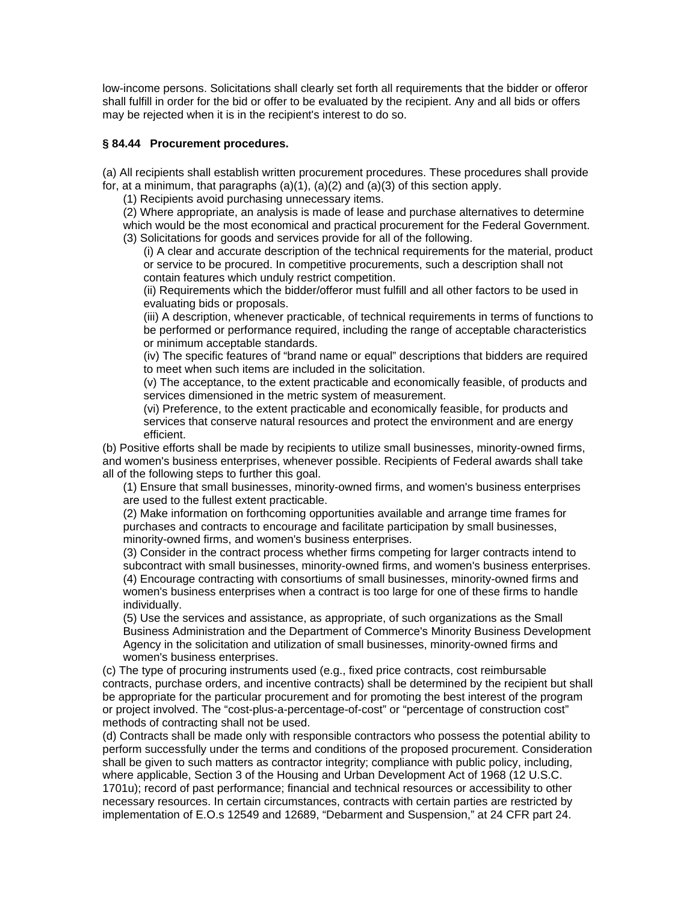low-income persons. Solicitations shall clearly set forth all requirements that the bidder or offeror shall fulfill in order for the bid or offer to be evaluated by the recipient. Any and all bids or offers may be rejected when it is in the recipient's interest to do so.

#### **§ 84.44 Procurement procedures.**

(a) All recipients shall establish written procurement procedures. These procedures shall provide for, at a minimum, that paragraphs  $(a)(1)$ ,  $(a)(2)$  and  $(a)(3)$  of this section apply.

(1) Recipients avoid purchasing unnecessary items.

(2) Where appropriate, an analysis is made of lease and purchase alternatives to determine which would be the most economical and practical procurement for the Federal Government. (3) Solicitations for goods and services provide for all of the following.

(i) A clear and accurate description of the technical requirements for the material, product or service to be procured. In competitive procurements, such a description shall not contain features which unduly restrict competition.

(ii) Requirements which the bidder/offeror must fulfill and all other factors to be used in evaluating bids or proposals.

(iii) A description, whenever practicable, of technical requirements in terms of functions to be performed or performance required, including the range of acceptable characteristics or minimum acceptable standards.

(iv) The specific features of "brand name or equal" descriptions that bidders are required to meet when such items are included in the solicitation.

(v) The acceptance, to the extent practicable and economically feasible, of products and services dimensioned in the metric system of measurement.

(vi) Preference, to the extent practicable and economically feasible, for products and services that conserve natural resources and protect the environment and are energy efficient.

(b) Positive efforts shall be made by recipients to utilize small businesses, minority-owned firms, and women's business enterprises, whenever possible. Recipients of Federal awards shall take all of the following steps to further this goal.

(1) Ensure that small businesses, minority-owned firms, and women's business enterprises are used to the fullest extent practicable.

(2) Make information on forthcoming opportunities available and arrange time frames for purchases and contracts to encourage and facilitate participation by small businesses, minority-owned firms, and women's business enterprises.

(3) Consider in the contract process whether firms competing for larger contracts intend to subcontract with small businesses, minority-owned firms, and women's business enterprises. (4) Encourage contracting with consortiums of small businesses, minority-owned firms and women's business enterprises when a contract is too large for one of these firms to handle individually.

(5) Use the services and assistance, as appropriate, of such organizations as the Small Business Administration and the Department of Commerce's Minority Business Development Agency in the solicitation and utilization of small businesses, minority-owned firms and women's business enterprises.

(c) The type of procuring instruments used (e.g., fixed price contracts, cost reimbursable contracts, purchase orders, and incentive contracts) shall be determined by the recipient but shall be appropriate for the particular procurement and for promoting the best interest of the program or project involved. The "cost-plus-a-percentage-of-cost" or "percentage of construction cost" methods of contracting shall not be used.

(d) Contracts shall be made only with responsible contractors who possess the potential ability to perform successfully under the terms and conditions of the proposed procurement. Consideration shall be given to such matters as contractor integrity; compliance with public policy, including, where applicable, Section 3 of the Housing and Urban Development Act of 1968 (12 U.S.C. 1701u); record of past performance; financial and technical resources or accessibility to other necessary resources. In certain circumstances, contracts with certain parties are restricted by implementation of E.O.s 12549 and 12689, "Debarment and Suspension," at 24 CFR part 24.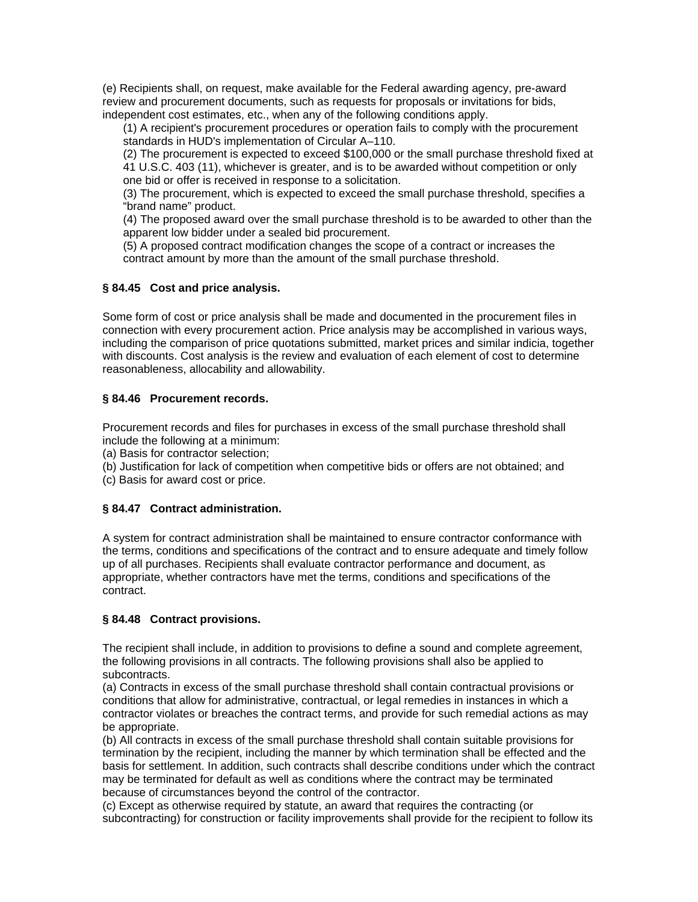(e) Recipients shall, on request, make available for the Federal awarding agency, pre-award review and procurement documents, such as requests for proposals or invitations for bids, independent cost estimates, etc., when any of the following conditions apply.

(1) A recipient's procurement procedures or operation fails to comply with the procurement standards in HUD's implementation of Circular A–110.

(2) The procurement is expected to exceed \$100,000 or the small purchase threshold fixed at 41 U.S.C. 403 (11), whichever is greater, and is to be awarded without competition or only one bid or offer is received in response to a solicitation.

(3) The procurement, which is expected to exceed the small purchase threshold, specifies a "brand name" product.

(4) The proposed award over the small purchase threshold is to be awarded to other than the apparent low bidder under a sealed bid procurement.

(5) A proposed contract modification changes the scope of a contract or increases the contract amount by more than the amount of the small purchase threshold.

### **§ 84.45 Cost and price analysis.**

Some form of cost or price analysis shall be made and documented in the procurement files in connection with every procurement action. Price analysis may be accomplished in various ways, including the comparison of price quotations submitted, market prices and similar indicia, together with discounts. Cost analysis is the review and evaluation of each element of cost to determine reasonableness, allocability and allowability.

### **§ 84.46 Procurement records.**

Procurement records and files for purchases in excess of the small purchase threshold shall include the following at a minimum:

(a) Basis for contractor selection;

(b) Justification for lack of competition when competitive bids or offers are not obtained; and

(c) Basis for award cost or price.

### **§ 84.47 Contract administration.**

A system for contract administration shall be maintained to ensure contractor conformance with the terms, conditions and specifications of the contract and to ensure adequate and timely follow up of all purchases. Recipients shall evaluate contractor performance and document, as appropriate, whether contractors have met the terms, conditions and specifications of the contract.

# **§ 84.48 Contract provisions.**

The recipient shall include, in addition to provisions to define a sound and complete agreement, the following provisions in all contracts. The following provisions shall also be applied to subcontracts.

(a) Contracts in excess of the small purchase threshold shall contain contractual provisions or conditions that allow for administrative, contractual, or legal remedies in instances in which a contractor violates or breaches the contract terms, and provide for such remedial actions as may be appropriate.

(b) All contracts in excess of the small purchase threshold shall contain suitable provisions for termination by the recipient, including the manner by which termination shall be effected and the basis for settlement. In addition, such contracts shall describe conditions under which the contract may be terminated for default as well as conditions where the contract may be terminated because of circumstances beyond the control of the contractor.

(c) Except as otherwise required by statute, an award that requires the contracting (or subcontracting) for construction or facility improvements shall provide for the recipient to follow its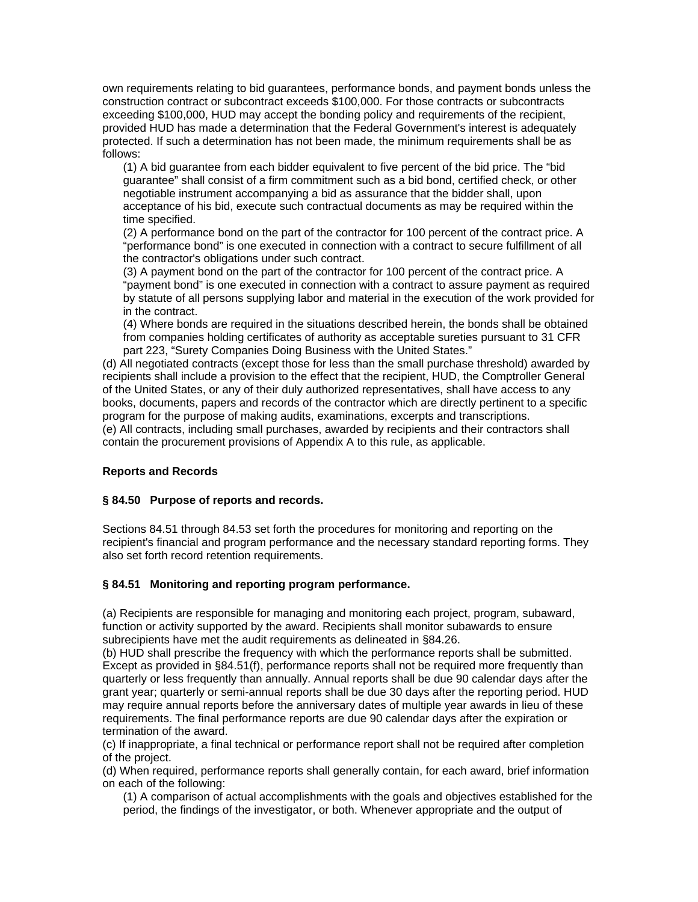own requirements relating to bid guarantees, performance bonds, and payment bonds unless the construction contract or subcontract exceeds \$100,000. For those contracts or subcontracts exceeding \$100,000, HUD may accept the bonding policy and requirements of the recipient, provided HUD has made a determination that the Federal Government's interest is adequately protected. If such a determination has not been made, the minimum requirements shall be as follows:

(1) A bid guarantee from each bidder equivalent to five percent of the bid price. The "bid guarantee" shall consist of a firm commitment such as a bid bond, certified check, or other negotiable instrument accompanying a bid as assurance that the bidder shall, upon acceptance of his bid, execute such contractual documents as may be required within the time specified.

(2) A performance bond on the part of the contractor for 100 percent of the contract price. A "performance bond" is one executed in connection with a contract to secure fulfillment of all the contractor's obligations under such contract.

(3) A payment bond on the part of the contractor for 100 percent of the contract price. A "payment bond" is one executed in connection with a contract to assure payment as required by statute of all persons supplying labor and material in the execution of the work provided for in the contract.

(4) Where bonds are required in the situations described herein, the bonds shall be obtained from companies holding certificates of authority as acceptable sureties pursuant to 31 CFR part 223, "Surety Companies Doing Business with the United States."

(d) All negotiated contracts (except those for less than the small purchase threshold) awarded by recipients shall include a provision to the effect that the recipient, HUD, the Comptroller General of the United States, or any of their duly authorized representatives, shall have access to any books, documents, papers and records of the contractor which are directly pertinent to a specific program for the purpose of making audits, examinations, excerpts and transcriptions. (e) All contracts, including small purchases, awarded by recipients and their contractors shall contain the procurement provisions of Appendix A to this rule, as applicable.

### **Reports and Records**

#### **§ 84.50 Purpose of reports and records.**

Sections 84.51 through 84.53 set forth the procedures for monitoring and reporting on the recipient's financial and program performance and the necessary standard reporting forms. They also set forth record retention requirements.

### **§ 84.51 Monitoring and reporting program performance.**

(a) Recipients are responsible for managing and monitoring each project, program, subaward, function or activity supported by the award. Recipients shall monitor subawards to ensure subrecipients have met the audit requirements as delineated in §84.26.

(b) HUD shall prescribe the frequency with which the performance reports shall be submitted. Except as provided in §84.51(f), performance reports shall not be required more frequently than quarterly or less frequently than annually. Annual reports shall be due 90 calendar days after the grant year; quarterly or semi-annual reports shall be due 30 days after the reporting period. HUD may require annual reports before the anniversary dates of multiple year awards in lieu of these requirements. The final performance reports are due 90 calendar days after the expiration or termination of the award.

(c) If inappropriate, a final technical or performance report shall not be required after completion of the project.

(d) When required, performance reports shall generally contain, for each award, brief information on each of the following:

(1) A comparison of actual accomplishments with the goals and objectives established for the period, the findings of the investigator, or both. Whenever appropriate and the output of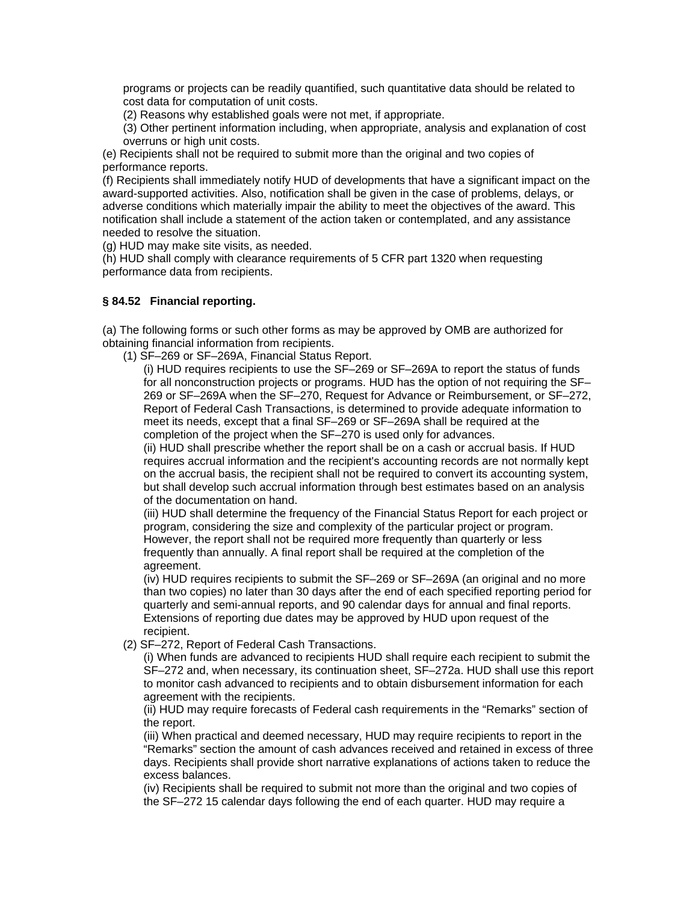programs or projects can be readily quantified, such quantitative data should be related to cost data for computation of unit costs.

(2) Reasons why established goals were not met, if appropriate.

(3) Other pertinent information including, when appropriate, analysis and explanation of cost overruns or high unit costs.

(e) Recipients shall not be required to submit more than the original and two copies of performance reports.

(f) Recipients shall immediately notify HUD of developments that have a significant impact on the award-supported activities. Also, notification shall be given in the case of problems, delays, or adverse conditions which materially impair the ability to meet the objectives of the award. This notification shall include a statement of the action taken or contemplated, and any assistance needed to resolve the situation.

(g) HUD may make site visits, as needed.

(h) HUD shall comply with clearance requirements of 5 CFR part 1320 when requesting performance data from recipients.

#### **§ 84.52 Financial reporting.**

(a) The following forms or such other forms as may be approved by OMB are authorized for obtaining financial information from recipients.

(1) SF–269 or SF–269A, Financial Status Report.

(i) HUD requires recipients to use the SF–269 or SF–269A to report the status of funds for all nonconstruction projects or programs. HUD has the option of not requiring the SF– 269 or SF–269A when the SF–270, Request for Advance or Reimbursement, or SF–272, Report of Federal Cash Transactions, is determined to provide adequate information to meet its needs, except that a final SF–269 or SF–269A shall be required at the completion of the project when the SF–270 is used only for advances.

(ii) HUD shall prescribe whether the report shall be on a cash or accrual basis. If HUD requires accrual information and the recipient's accounting records are not normally kept on the accrual basis, the recipient shall not be required to convert its accounting system, but shall develop such accrual information through best estimates based on an analysis of the documentation on hand.

(iii) HUD shall determine the frequency of the Financial Status Report for each project or program, considering the size and complexity of the particular project or program. However, the report shall not be required more frequently than quarterly or less frequently than annually. A final report shall be required at the completion of the agreement.

(iv) HUD requires recipients to submit the SF–269 or SF–269A (an original and no more than two copies) no later than 30 days after the end of each specified reporting period for quarterly and semi-annual reports, and 90 calendar days for annual and final reports. Extensions of reporting due dates may be approved by HUD upon request of the recipient.

(2) SF–272, Report of Federal Cash Transactions.

(i) When funds are advanced to recipients HUD shall require each recipient to submit the SF–272 and, when necessary, its continuation sheet, SF–272a. HUD shall use this report to monitor cash advanced to recipients and to obtain disbursement information for each agreement with the recipients.

(ii) HUD may require forecasts of Federal cash requirements in the "Remarks" section of the report.

(iii) When practical and deemed necessary, HUD may require recipients to report in the "Remarks" section the amount of cash advances received and retained in excess of three days. Recipients shall provide short narrative explanations of actions taken to reduce the excess balances.

(iv) Recipients shall be required to submit not more than the original and two copies of the SF–272 15 calendar days following the end of each quarter. HUD may require a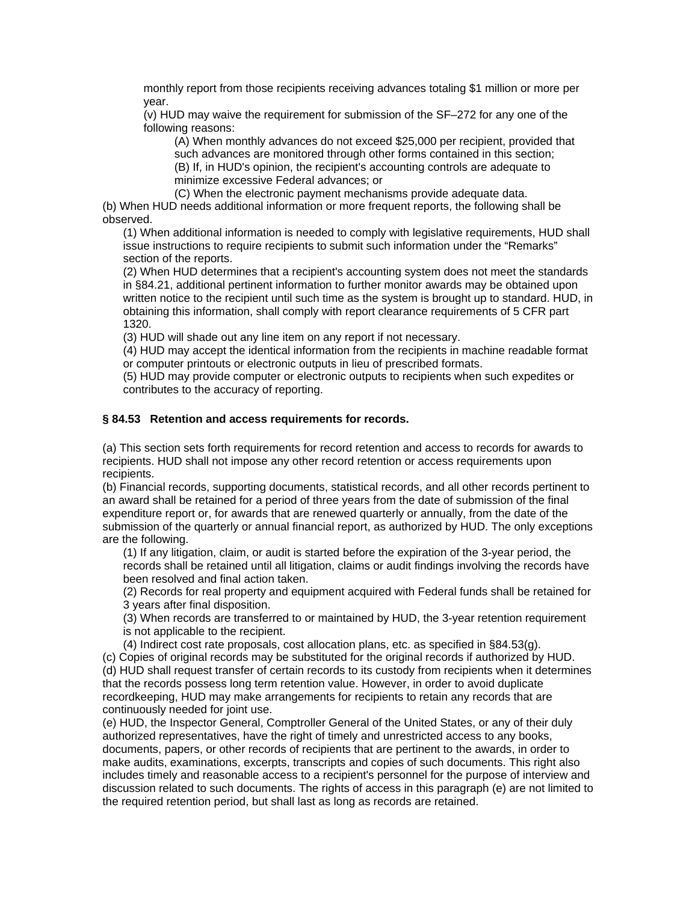monthly report from those recipients receiving advances totaling \$1 million or more per year.

(v) HUD may waive the requirement for submission of the SF–272 for any one of the following reasons:

(A) When monthly advances do not exceed \$25,000 per recipient, provided that such advances are monitored through other forms contained in this section; (B) If, in HUD's opinion, the recipient's accounting controls are adequate to minimize excessive Federal advances; or

(C) When the electronic payment mechanisms provide adequate data. (b) When HUD needs additional information or more frequent reports, the following shall be observed.

(1) When additional information is needed to comply with legislative requirements, HUD shall issue instructions to require recipients to submit such information under the "Remarks" section of the reports.

(2) When HUD determines that a recipient's accounting system does not meet the standards in §84.21, additional pertinent information to further monitor awards may be obtained upon written notice to the recipient until such time as the system is brought up to standard. HUD, in obtaining this information, shall comply with report clearance requirements of 5 CFR part 1320.

(3) HUD will shade out any line item on any report if not necessary.

(4) HUD may accept the identical information from the recipients in machine readable format or computer printouts or electronic outputs in lieu of prescribed formats.

(5) HUD may provide computer or electronic outputs to recipients when such expedites or contributes to the accuracy of reporting.

### **§ 84.53 Retention and access requirements for records.**

(a) This section sets forth requirements for record retention and access to records for awards to recipients. HUD shall not impose any other record retention or access requirements upon recipients.

(b) Financial records, supporting documents, statistical records, and all other records pertinent to an award shall be retained for a period of three years from the date of submission of the final expenditure report or, for awards that are renewed quarterly or annually, from the date of the submission of the quarterly or annual financial report, as authorized by HUD. The only exceptions are the following.

(1) If any litigation, claim, or audit is started before the expiration of the 3-year period, the records shall be retained until all litigation, claims or audit findings involving the records have been resolved and final action taken.

(2) Records for real property and equipment acquired with Federal funds shall be retained for 3 years after final disposition.

(3) When records are transferred to or maintained by HUD, the 3-year retention requirement is not applicable to the recipient.

(4) Indirect cost rate proposals, cost allocation plans, etc. as specified in §84.53(g).

(c) Copies of original records may be substituted for the original records if authorized by HUD. (d) HUD shall request transfer of certain records to its custody from recipients when it determines that the records possess long term retention value. However, in order to avoid duplicate recordkeeping, HUD may make arrangements for recipients to retain any records that are continuously needed for joint use.

(e) HUD, the Inspector General, Comptroller General of the United States, or any of their duly authorized representatives, have the right of timely and unrestricted access to any books, documents, papers, or other records of recipients that are pertinent to the awards, in order to make audits, examinations, excerpts, transcripts and copies of such documents. This right also includes timely and reasonable access to a recipient's personnel for the purpose of interview and discussion related to such documents. The rights of access in this paragraph (e) are not limited to the required retention period, but shall last as long as records are retained.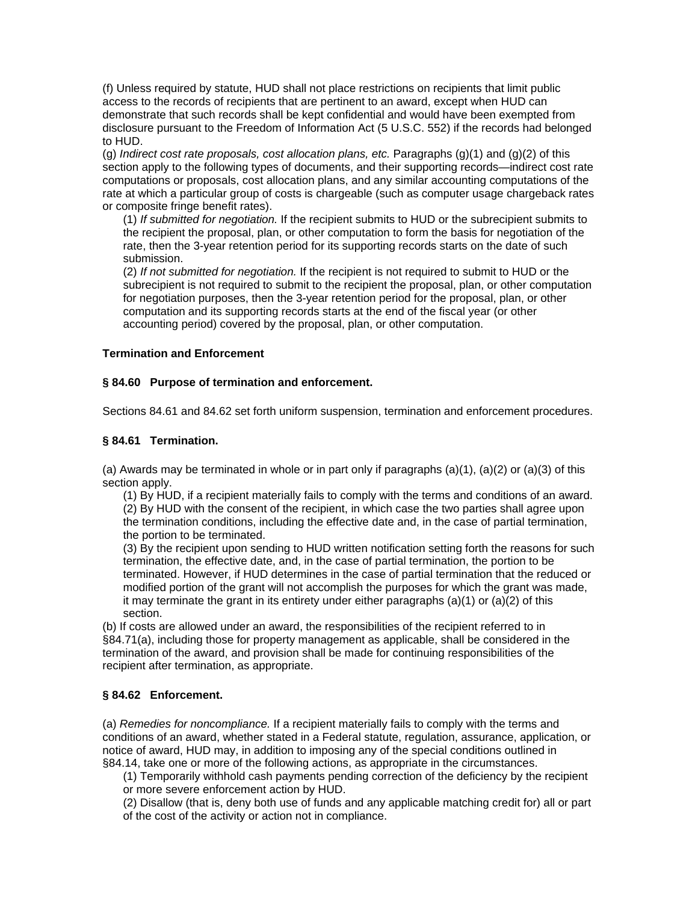(f) Unless required by statute, HUD shall not place restrictions on recipients that limit public access to the records of recipients that are pertinent to an award, except when HUD can demonstrate that such records shall be kept confidential and would have been exempted from disclosure pursuant to the Freedom of Information Act (5 U.S.C. 552) if the records had belonged to HUD.

(g) *Indirect cost rate proposals, cost allocation plans, etc.* Paragraphs (g)(1) and (g)(2) of this section apply to the following types of documents, and their supporting records—indirect cost rate computations or proposals, cost allocation plans, and any similar accounting computations of the rate at which a particular group of costs is chargeable (such as computer usage chargeback rates or composite fringe benefit rates).

(1) *If submitted for negotiation.* If the recipient submits to HUD or the subrecipient submits to the recipient the proposal, plan, or other computation to form the basis for negotiation of the rate, then the 3-year retention period for its supporting records starts on the date of such submission.

(2) *If not submitted for negotiation.* If the recipient is not required to submit to HUD or the subrecipient is not required to submit to the recipient the proposal, plan, or other computation for negotiation purposes, then the 3-year retention period for the proposal, plan, or other computation and its supporting records starts at the end of the fiscal year (or other accounting period) covered by the proposal, plan, or other computation.

#### **Termination and Enforcement**

#### **§ 84.60 Purpose of termination and enforcement.**

Sections 84.61 and 84.62 set forth uniform suspension, termination and enforcement procedures.

#### **§ 84.61 Termination.**

(a) Awards may be terminated in whole or in part only if paragraphs  $(a)(1)$ ,  $(a)(2)$  or  $(a)(3)$  of this section apply.

(1) By HUD, if a recipient materially fails to comply with the terms and conditions of an award. (2) By HUD with the consent of the recipient, in which case the two parties shall agree upon the termination conditions, including the effective date and, in the case of partial termination, the portion to be terminated.

(3) By the recipient upon sending to HUD written notification setting forth the reasons for such termination, the effective date, and, in the case of partial termination, the portion to be terminated. However, if HUD determines in the case of partial termination that the reduced or modified portion of the grant will not accomplish the purposes for which the grant was made, it may terminate the grant in its entirety under either paragraphs  $(a)(1)$  or  $(a)(2)$  of this section.

(b) If costs are allowed under an award, the responsibilities of the recipient referred to in §84.71(a), including those for property management as applicable, shall be considered in the termination of the award, and provision shall be made for continuing responsibilities of the recipient after termination, as appropriate.

### **§ 84.62 Enforcement.**

(a) *Remedies for noncompliance.* If a recipient materially fails to comply with the terms and conditions of an award, whether stated in a Federal statute, regulation, assurance, application, or notice of award, HUD may, in addition to imposing any of the special conditions outlined in §84.14, take one or more of the following actions, as appropriate in the circumstances.

(1) Temporarily withhold cash payments pending correction of the deficiency by the recipient or more severe enforcement action by HUD.

(2) Disallow (that is, deny both use of funds and any applicable matching credit for) all or part of the cost of the activity or action not in compliance.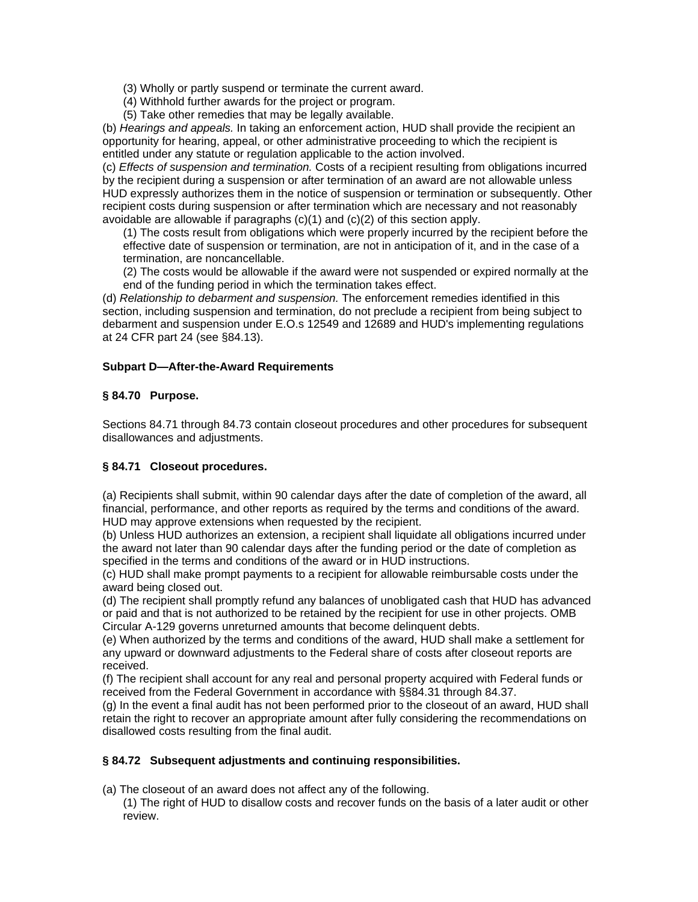- (3) Wholly or partly suspend or terminate the current award.
- (4) Withhold further awards for the project or program.
- (5) Take other remedies that may be legally available.

(b) *Hearings and appeals.* In taking an enforcement action, HUD shall provide the recipient an opportunity for hearing, appeal, or other administrative proceeding to which the recipient is entitled under any statute or regulation applicable to the action involved.

(c) *Effects of suspension and termination.* Costs of a recipient resulting from obligations incurred by the recipient during a suspension or after termination of an award are not allowable unless HUD expressly authorizes them in the notice of suspension or termination or subsequently. Other recipient costs during suspension or after termination which are necessary and not reasonably avoidable are allowable if paragraphs (c)(1) and (c)(2) of this section apply.

(1) The costs result from obligations which were properly incurred by the recipient before the effective date of suspension or termination, are not in anticipation of it, and in the case of a termination, are noncancellable.

(2) The costs would be allowable if the award were not suspended or expired normally at the end of the funding period in which the termination takes effect.

(d) *Relationship to debarment and suspension.* The enforcement remedies identified in this section, including suspension and termination, do not preclude a recipient from being subject to debarment and suspension under E.O.s 12549 and 12689 and HUD's implementing regulations at 24 CFR part 24 (see §84.13).

### **Subpart D—After-the-Award Requirements**

#### **§ 84.70 Purpose.**

Sections 84.71 through 84.73 contain closeout procedures and other procedures for subsequent disallowances and adjustments.

### **§ 84.71 Closeout procedures.**

(a) Recipients shall submit, within 90 calendar days after the date of completion of the award, all financial, performance, and other reports as required by the terms and conditions of the award. HUD may approve extensions when requested by the recipient.

(b) Unless HUD authorizes an extension, a recipient shall liquidate all obligations incurred under the award not later than 90 calendar days after the funding period or the date of completion as specified in the terms and conditions of the award or in HUD instructions.

(c) HUD shall make prompt payments to a recipient for allowable reimbursable costs under the award being closed out.

(d) The recipient shall promptly refund any balances of unobligated cash that HUD has advanced or paid and that is not authorized to be retained by the recipient for use in other projects. OMB Circular A-129 governs unreturned amounts that become delinquent debts.

(e) When authorized by the terms and conditions of the award, HUD shall make a settlement for any upward or downward adjustments to the Federal share of costs after closeout reports are received.

(f) The recipient shall account for any real and personal property acquired with Federal funds or received from the Federal Government in accordance with §§84.31 through 84.37.

(g) In the event a final audit has not been performed prior to the closeout of an award, HUD shall retain the right to recover an appropriate amount after fully considering the recommendations on disallowed costs resulting from the final audit.

### **§ 84.72 Subsequent adjustments and continuing responsibilities.**

(a) The closeout of an award does not affect any of the following. (1) The right of HUD to disallow costs and recover funds on the basis of a later audit or other review.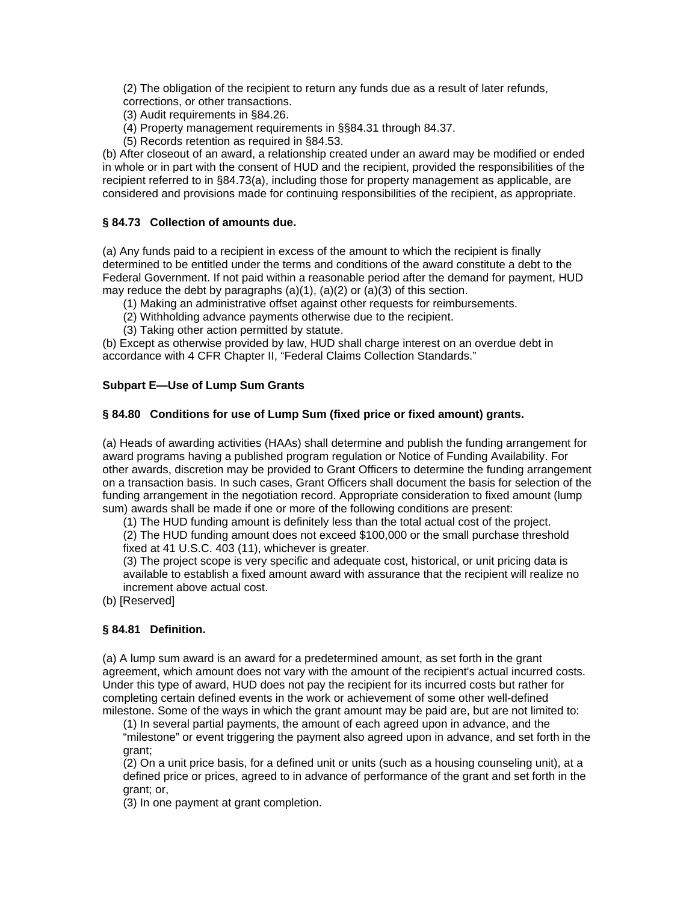(2) The obligation of the recipient to return any funds due as a result of later refunds, corrections, or other transactions.

- (3) Audit requirements in §84.26.
- (4) Property management requirements in §§84.31 through 84.37.
- (5) Records retention as required in §84.53.

(b) After closeout of an award, a relationship created under an award may be modified or ended in whole or in part with the consent of HUD and the recipient, provided the responsibilities of the recipient referred to in §84.73(a), including those for property management as applicable, are considered and provisions made for continuing responsibilities of the recipient, as appropriate.

#### **§ 84.73 Collection of amounts due.**

(a) Any funds paid to a recipient in excess of the amount to which the recipient is finally determined to be entitled under the terms and conditions of the award constitute a debt to the Federal Government. If not paid within a reasonable period after the demand for payment, HUD may reduce the debt by paragraphs  $(a)(1)$ ,  $(a)(2)$  or  $(a)(3)$  of this section.

(1) Making an administrative offset against other requests for reimbursements.

- (2) Withholding advance payments otherwise due to the recipient.
- (3) Taking other action permitted by statute.

(b) Except as otherwise provided by law, HUD shall charge interest on an overdue debt in accordance with 4 CFR Chapter II, "Federal Claims Collection Standards."

#### **Subpart E—Use of Lump Sum Grants**

#### **§ 84.80 Conditions for use of Lump Sum (fixed price or fixed amount) grants.**

(a) Heads of awarding activities (HAAs) shall determine and publish the funding arrangement for award programs having a published program regulation or Notice of Funding Availability. For other awards, discretion may be provided to Grant Officers to determine the funding arrangement on a transaction basis. In such cases, Grant Officers shall document the basis for selection of the funding arrangement in the negotiation record. Appropriate consideration to fixed amount (lump sum) awards shall be made if one or more of the following conditions are present:

(1) The HUD funding amount is definitely less than the total actual cost of the project.

(2) The HUD funding amount does not exceed \$100,000 or the small purchase threshold fixed at 41 U.S.C. 403 (11), whichever is greater.

(3) The project scope is very specific and adequate cost, historical, or unit pricing data is available to establish a fixed amount award with assurance that the recipient will realize no increment above actual cost.

(b) [Reserved]

### **§ 84.81 Definition.**

(a) A lump sum award is an award for a predetermined amount, as set forth in the grant agreement, which amount does not vary with the amount of the recipient's actual incurred costs. Under this type of award, HUD does not pay the recipient for its incurred costs but rather for completing certain defined events in the work or achievement of some other well-defined milestone. Some of the ways in which the grant amount may be paid are, but are not limited to:

(1) In several partial payments, the amount of each agreed upon in advance, and the "milestone" or event triggering the payment also agreed upon in advance, and set forth in the grant;

(2) On a unit price basis, for a defined unit or units (such as a housing counseling unit), at a defined price or prices, agreed to in advance of performance of the grant and set forth in the grant; or,

(3) In one payment at grant completion.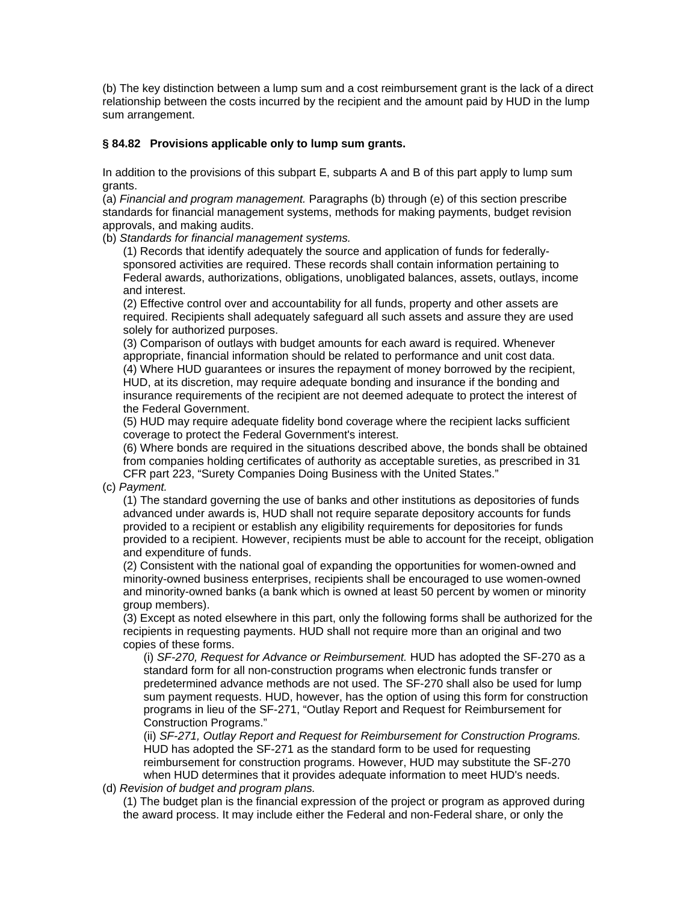(b) The key distinction between a lump sum and a cost reimbursement grant is the lack of a direct relationship between the costs incurred by the recipient and the amount paid by HUD in the lump sum arrangement.

#### **§ 84.82 Provisions applicable only to lump sum grants.**

In addition to the provisions of this subpart E, subparts A and B of this part apply to lump sum grants.

(a) *Financial and program management.* Paragraphs (b) through (e) of this section prescribe standards for financial management systems, methods for making payments, budget revision approvals, and making audits.

(b) *Standards for financial management systems.*

(1) Records that identify adequately the source and application of funds for federallysponsored activities are required. These records shall contain information pertaining to Federal awards, authorizations, obligations, unobligated balances, assets, outlays, income and interest.

(2) Effective control over and accountability for all funds, property and other assets are required. Recipients shall adequately safeguard all such assets and assure they are used solely for authorized purposes.

(3) Comparison of outlays with budget amounts for each award is required. Whenever appropriate, financial information should be related to performance and unit cost data. (4) Where HUD guarantees or insures the repayment of money borrowed by the recipient, HUD, at its discretion, may require adequate bonding and insurance if the bonding and insurance requirements of the recipient are not deemed adequate to protect the interest of the Federal Government.

(5) HUD may require adequate fidelity bond coverage where the recipient lacks sufficient coverage to protect the Federal Government's interest.

(6) Where bonds are required in the situations described above, the bonds shall be obtained from companies holding certificates of authority as acceptable sureties, as prescribed in 31 CFR part 223, "Surety Companies Doing Business with the United States."

(c) *Payment.*

(1) The standard governing the use of banks and other institutions as depositories of funds advanced under awards is, HUD shall not require separate depository accounts for funds provided to a recipient or establish any eligibility requirements for depositories for funds provided to a recipient. However, recipients must be able to account for the receipt, obligation and expenditure of funds.

(2) Consistent with the national goal of expanding the opportunities for women-owned and minority-owned business enterprises, recipients shall be encouraged to use women-owned and minority-owned banks (a bank which is owned at least 50 percent by women or minority group members).

(3) Except as noted elsewhere in this part, only the following forms shall be authorized for the recipients in requesting payments. HUD shall not require more than an original and two copies of these forms.

(i) *SF-270, Request for Advance or Reimbursement.* HUD has adopted the SF-270 as a standard form for all non-construction programs when electronic funds transfer or predetermined advance methods are not used. The SF-270 shall also be used for lump sum payment requests. HUD, however, has the option of using this form for construction programs in lieu of the SF-271, "Outlay Report and Request for Reimbursement for Construction Programs."

(ii) *SF-271, Outlay Report and Request for Reimbursement for Construction Programs.* HUD has adopted the SF-271 as the standard form to be used for requesting reimbursement for construction programs. However, HUD may substitute the SF-270 when HUD determines that it provides adequate information to meet HUD's needs.

(d) *Revision of budget and program plans.*

(1) The budget plan is the financial expression of the project or program as approved during the award process. It may include either the Federal and non-Federal share, or only the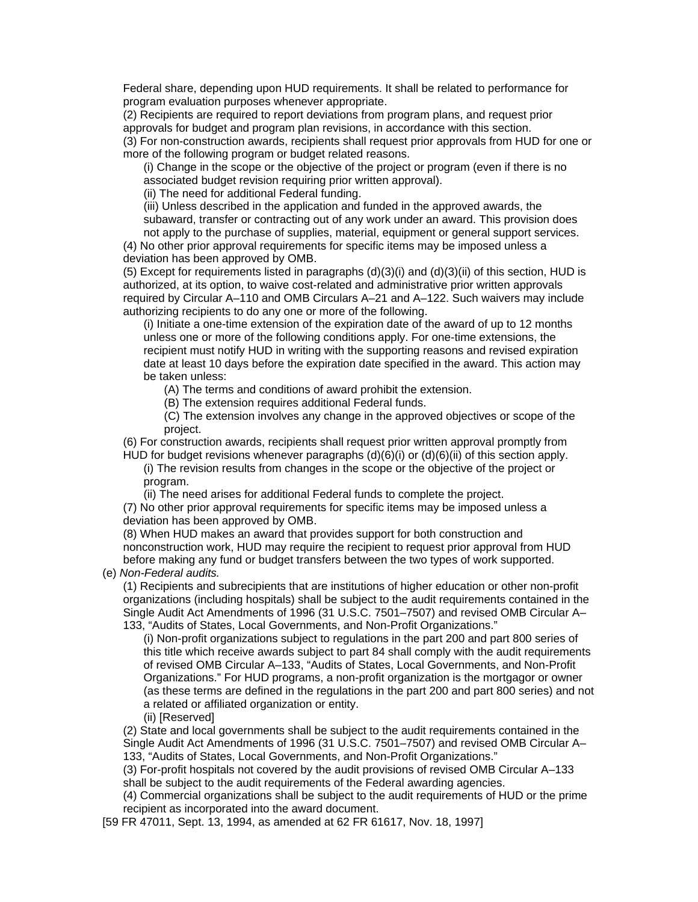Federal share, depending upon HUD requirements. It shall be related to performance for program evaluation purposes whenever appropriate.

(2) Recipients are required to report deviations from program plans, and request prior approvals for budget and program plan revisions, in accordance with this section.

(3) For non-construction awards, recipients shall request prior approvals from HUD for one or more of the following program or budget related reasons.

(i) Change in the scope or the objective of the project or program (even if there is no associated budget revision requiring prior written approval).

(ii) The need for additional Federal funding.

(iii) Unless described in the application and funded in the approved awards, the subaward, transfer or contracting out of any work under an award. This provision does not apply to the purchase of supplies, material, equipment or general support services.

(4) No other prior approval requirements for specific items may be imposed unless a deviation has been approved by OMB.

(5) Except for requirements listed in paragraphs (d)(3)(i) and (d)(3)(ii) of this section, HUD is authorized, at its option, to waive cost-related and administrative prior written approvals required by Circular A–110 and OMB Circulars A–21 and A–122. Such waivers may include authorizing recipients to do any one or more of the following.

(i) Initiate a one-time extension of the expiration date of the award of up to 12 months unless one or more of the following conditions apply. For one-time extensions, the recipient must notify HUD in writing with the supporting reasons and revised expiration date at least 10 days before the expiration date specified in the award. This action may be taken unless:

(A) The terms and conditions of award prohibit the extension.

(B) The extension requires additional Federal funds.

(C) The extension involves any change in the approved objectives or scope of the project.

(6) For construction awards, recipients shall request prior written approval promptly from HUD for budget revisions whenever paragraphs (d)(6)(i) or (d)(6)(ii) of this section apply.

(i) The revision results from changes in the scope or the objective of the project or program.

(ii) The need arises for additional Federal funds to complete the project.

(7) No other prior approval requirements for specific items may be imposed unless a deviation has been approved by OMB.

(8) When HUD makes an award that provides support for both construction and nonconstruction work, HUD may require the recipient to request prior approval from HUD before making any fund or budget transfers between the two types of work supported.

(e) *Non-Federal audits.*

(1) Recipients and subrecipients that are institutions of higher education or other non-profit organizations (including hospitals) shall be subject to the audit requirements contained in the Single Audit Act Amendments of 1996 (31 U.S.C. 7501–7507) and revised OMB Circular A– 133, "Audits of States, Local Governments, and Non-Profit Organizations."

(i) Non-profit organizations subject to regulations in the part 200 and part 800 series of this title which receive awards subject to part 84 shall comply with the audit requirements of revised OMB Circular A–133, "Audits of States, Local Governments, and Non-Profit Organizations." For HUD programs, a non-profit organization is the mortgagor or owner (as these terms are defined in the regulations in the part 200 and part 800 series) and not a related or affiliated organization or entity.

(ii) [Reserved]

(2) State and local governments shall be subject to the audit requirements contained in the Single Audit Act Amendments of 1996 (31 U.S.C. 7501–7507) and revised OMB Circular A– 133, "Audits of States, Local Governments, and Non-Profit Organizations."

(3) For-profit hospitals not covered by the audit provisions of revised OMB Circular A–133 shall be subject to the audit requirements of the Federal awarding agencies.

(4) Commercial organizations shall be subject to the audit requirements of HUD or the prime recipient as incorporated into the award document.

[59 FR 47011, Sept. 13, 1994, as amended at 62 FR 61617, Nov. 18, 1997]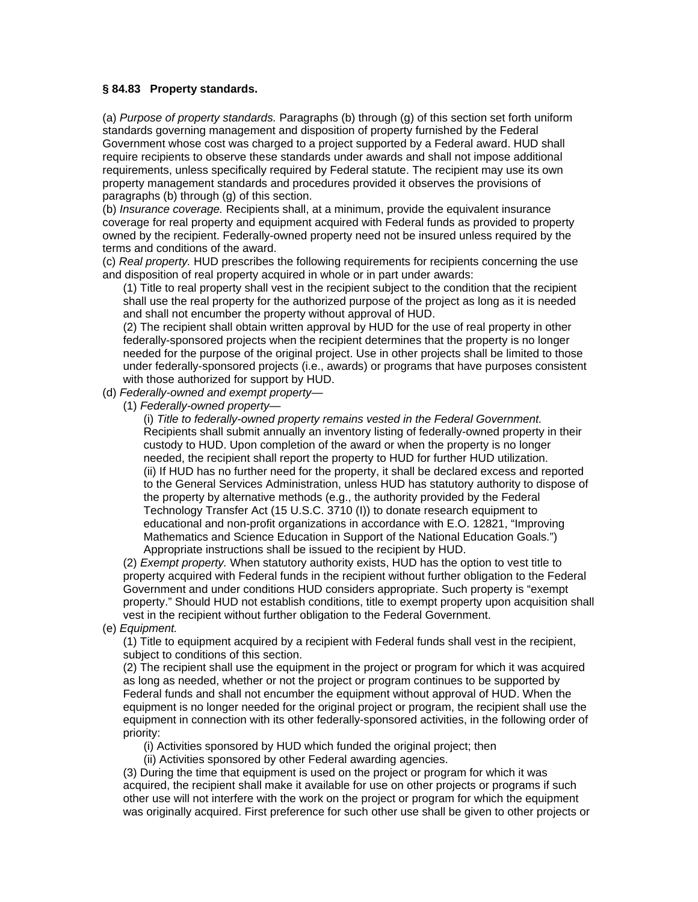### **§ 84.83 Property standards.**

(a) *Purpose of property standards.* Paragraphs (b) through (g) of this section set forth uniform standards governing management and disposition of property furnished by the Federal Government whose cost was charged to a project supported by a Federal award. HUD shall require recipients to observe these standards under awards and shall not impose additional requirements, unless specifically required by Federal statute. The recipient may use its own property management standards and procedures provided it observes the provisions of paragraphs (b) through (g) of this section.

(b) *Insurance coverage.* Recipients shall, at a minimum, provide the equivalent insurance coverage for real property and equipment acquired with Federal funds as provided to property owned by the recipient. Federally-owned property need not be insured unless required by the terms and conditions of the award.

(c) *Real property.* HUD prescribes the following requirements for recipients concerning the use and disposition of real property acquired in whole or in part under awards:

(1) Title to real property shall vest in the recipient subject to the condition that the recipient shall use the real property for the authorized purpose of the project as long as it is needed and shall not encumber the property without approval of HUD.

(2) The recipient shall obtain written approval by HUD for the use of real property in other federally-sponsored projects when the recipient determines that the property is no longer needed for the purpose of the original project. Use in other projects shall be limited to those under federally-sponsored projects (i.e., awards) or programs that have purposes consistent with those authorized for support by HUD.

- (d) *Federally-owned and exempt property*
	- (1) *Federally-owned property*—

(i) *Title to federally-owned property remains vested in the Federal Government.* Recipients shall submit annually an inventory listing of federally-owned property in their custody to HUD. Upon completion of the award or when the property is no longer needed, the recipient shall report the property to HUD for further HUD utilization. (ii) If HUD has no further need for the property, it shall be declared excess and reported to the General Services Administration, unless HUD has statutory authority to dispose of the property by alternative methods (e.g., the authority provided by the Federal Technology Transfer Act (15 U.S.C. 3710 (I)) to donate research equipment to educational and non-profit organizations in accordance with E.O. 12821, "Improving Mathematics and Science Education in Support of the National Education Goals.") Appropriate instructions shall be issued to the recipient by HUD.

(2) *Exempt property.* When statutory authority exists, HUD has the option to vest title to property acquired with Federal funds in the recipient without further obligation to the Federal Government and under conditions HUD considers appropriate. Such property is "exempt property." Should HUD not establish conditions, title to exempt property upon acquisition shall vest in the recipient without further obligation to the Federal Government.

#### (e) *Equipment.*

(1) Title to equipment acquired by a recipient with Federal funds shall vest in the recipient, subject to conditions of this section.

(2) The recipient shall use the equipment in the project or program for which it was acquired as long as needed, whether or not the project or program continues to be supported by Federal funds and shall not encumber the equipment without approval of HUD. When the equipment is no longer needed for the original project or program, the recipient shall use the equipment in connection with its other federally-sponsored activities, in the following order of priority:

(i) Activities sponsored by HUD which funded the original project; then

(ii) Activities sponsored by other Federal awarding agencies.

(3) During the time that equipment is used on the project or program for which it was acquired, the recipient shall make it available for use on other projects or programs if such other use will not interfere with the work on the project or program for which the equipment was originally acquired. First preference for such other use shall be given to other projects or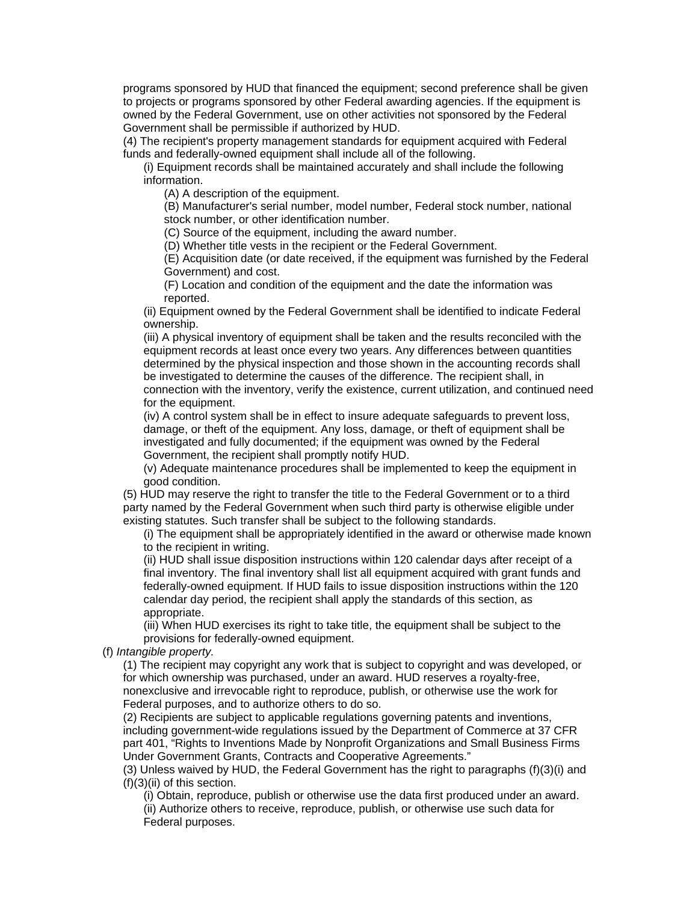programs sponsored by HUD that financed the equipment; second preference shall be given to projects or programs sponsored by other Federal awarding agencies. If the equipment is owned by the Federal Government, use on other activities not sponsored by the Federal Government shall be permissible if authorized by HUD.

(4) The recipient's property management standards for equipment acquired with Federal funds and federally-owned equipment shall include all of the following.

(i) Equipment records shall be maintained accurately and shall include the following information.

(A) A description of the equipment.

(B) Manufacturer's serial number, model number, Federal stock number, national stock number, or other identification number.

(C) Source of the equipment, including the award number.

(D) Whether title vests in the recipient or the Federal Government.

(E) Acquisition date (or date received, if the equipment was furnished by the Federal Government) and cost.

(F) Location and condition of the equipment and the date the information was reported.

(ii) Equipment owned by the Federal Government shall be identified to indicate Federal ownership.

(iii) A physical inventory of equipment shall be taken and the results reconciled with the equipment records at least once every two years. Any differences between quantities determined by the physical inspection and those shown in the accounting records shall be investigated to determine the causes of the difference. The recipient shall, in connection with the inventory, verify the existence, current utilization, and continued need for the equipment.

(iv) A control system shall be in effect to insure adequate safeguards to prevent loss, damage, or theft of the equipment. Any loss, damage, or theft of equipment shall be investigated and fully documented; if the equipment was owned by the Federal Government, the recipient shall promptly notify HUD.

(v) Adequate maintenance procedures shall be implemented to keep the equipment in good condition.

(5) HUD may reserve the right to transfer the title to the Federal Government or to a third party named by the Federal Government when such third party is otherwise eligible under existing statutes. Such transfer shall be subject to the following standards.

(i) The equipment shall be appropriately identified in the award or otherwise made known to the recipient in writing.

(ii) HUD shall issue disposition instructions within 120 calendar days after receipt of a final inventory. The final inventory shall list all equipment acquired with grant funds and federally-owned equipment. If HUD fails to issue disposition instructions within the 120 calendar day period, the recipient shall apply the standards of this section, as appropriate.

(iii) When HUD exercises its right to take title, the equipment shall be subject to the provisions for federally-owned equipment.

(f) *Intangible property.*

(1) The recipient may copyright any work that is subject to copyright and was developed, or for which ownership was purchased, under an award. HUD reserves a royalty-free, nonexclusive and irrevocable right to reproduce, publish, or otherwise use the work for Federal purposes, and to authorize others to do so.

(2) Recipients are subject to applicable regulations governing patents and inventions, including government-wide regulations issued by the Department of Commerce at 37 CFR part 401, "Rights to Inventions Made by Nonprofit Organizations and Small Business Firms Under Government Grants, Contracts and Cooperative Agreements."

(3) Unless waived by HUD, the Federal Government has the right to paragraphs (f)(3)(i) and (f)(3)(ii) of this section.

(i) Obtain, reproduce, publish or otherwise use the data first produced under an award. (ii) Authorize others to receive, reproduce, publish, or otherwise use such data for Federal purposes.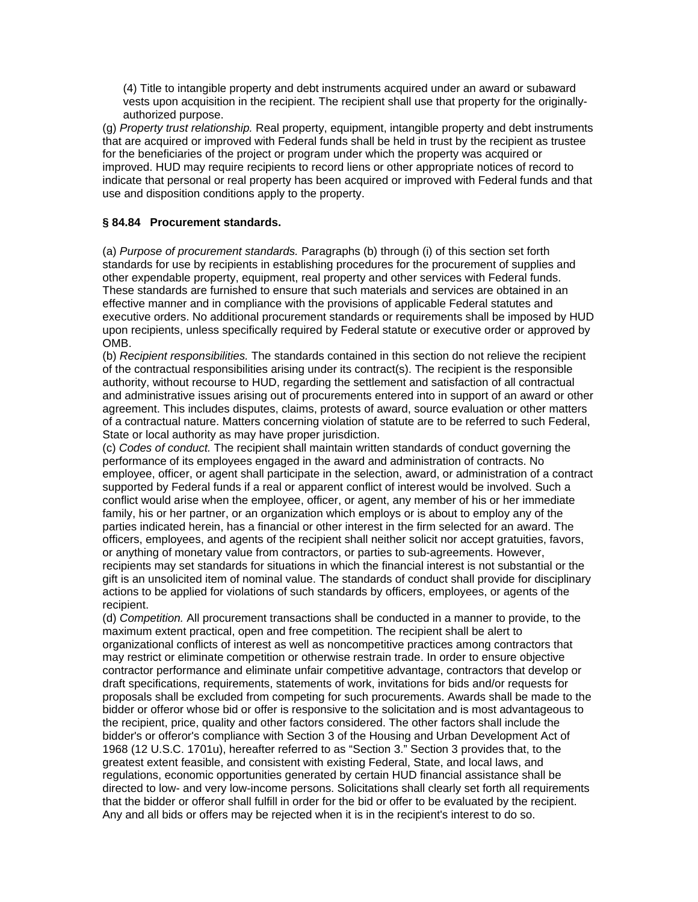(4) Title to intangible property and debt instruments acquired under an award or subaward vests upon acquisition in the recipient. The recipient shall use that property for the originallyauthorized purpose.

(g) *Property trust relationship.* Real property, equipment, intangible property and debt instruments that are acquired or improved with Federal funds shall be held in trust by the recipient as trustee for the beneficiaries of the project or program under which the property was acquired or improved. HUD may require recipients to record liens or other appropriate notices of record to indicate that personal or real property has been acquired or improved with Federal funds and that use and disposition conditions apply to the property.

### **§ 84.84 Procurement standards.**

(a) *Purpose of procurement standards.* Paragraphs (b) through (i) of this section set forth standards for use by recipients in establishing procedures for the procurement of supplies and other expendable property, equipment, real property and other services with Federal funds. These standards are furnished to ensure that such materials and services are obtained in an effective manner and in compliance with the provisions of applicable Federal statutes and executive orders. No additional procurement standards or requirements shall be imposed by HUD upon recipients, unless specifically required by Federal statute or executive order or approved by OMB.

(b) *Recipient responsibilities.* The standards contained in this section do not relieve the recipient of the contractual responsibilities arising under its contract(s). The recipient is the responsible authority, without recourse to HUD, regarding the settlement and satisfaction of all contractual and administrative issues arising out of procurements entered into in support of an award or other agreement. This includes disputes, claims, protests of award, source evaluation or other matters of a contractual nature. Matters concerning violation of statute are to be referred to such Federal, State or local authority as may have proper jurisdiction.

(c) *Codes of conduct.* The recipient shall maintain written standards of conduct governing the performance of its employees engaged in the award and administration of contracts. No employee, officer, or agent shall participate in the selection, award, or administration of a contract supported by Federal funds if a real or apparent conflict of interest would be involved. Such a conflict would arise when the employee, officer, or agent, any member of his or her immediate family, his or her partner, or an organization which employs or is about to employ any of the parties indicated herein, has a financial or other interest in the firm selected for an award. The officers, employees, and agents of the recipient shall neither solicit nor accept gratuities, favors, or anything of monetary value from contractors, or parties to sub-agreements. However, recipients may set standards for situations in which the financial interest is not substantial or the gift is an unsolicited item of nominal value. The standards of conduct shall provide for disciplinary actions to be applied for violations of such standards by officers, employees, or agents of the recipient.

(d) *Competition.* All procurement transactions shall be conducted in a manner to provide, to the maximum extent practical, open and free competition. The recipient shall be alert to organizational conflicts of interest as well as noncompetitive practices among contractors that may restrict or eliminate competition or otherwise restrain trade. In order to ensure objective contractor performance and eliminate unfair competitive advantage, contractors that develop or draft specifications, requirements, statements of work, invitations for bids and/or requests for proposals shall be excluded from competing for such procurements. Awards shall be made to the bidder or offeror whose bid or offer is responsive to the solicitation and is most advantageous to the recipient, price, quality and other factors considered. The other factors shall include the bidder's or offeror's compliance with Section 3 of the Housing and Urban Development Act of 1968 (12 U.S.C. 1701u), hereafter referred to as "Section 3." Section 3 provides that, to the greatest extent feasible, and consistent with existing Federal, State, and local laws, and regulations, economic opportunities generated by certain HUD financial assistance shall be directed to low- and very low-income persons. Solicitations shall clearly set forth all requirements that the bidder or offeror shall fulfill in order for the bid or offer to be evaluated by the recipient. Any and all bids or offers may be rejected when it is in the recipient's interest to do so.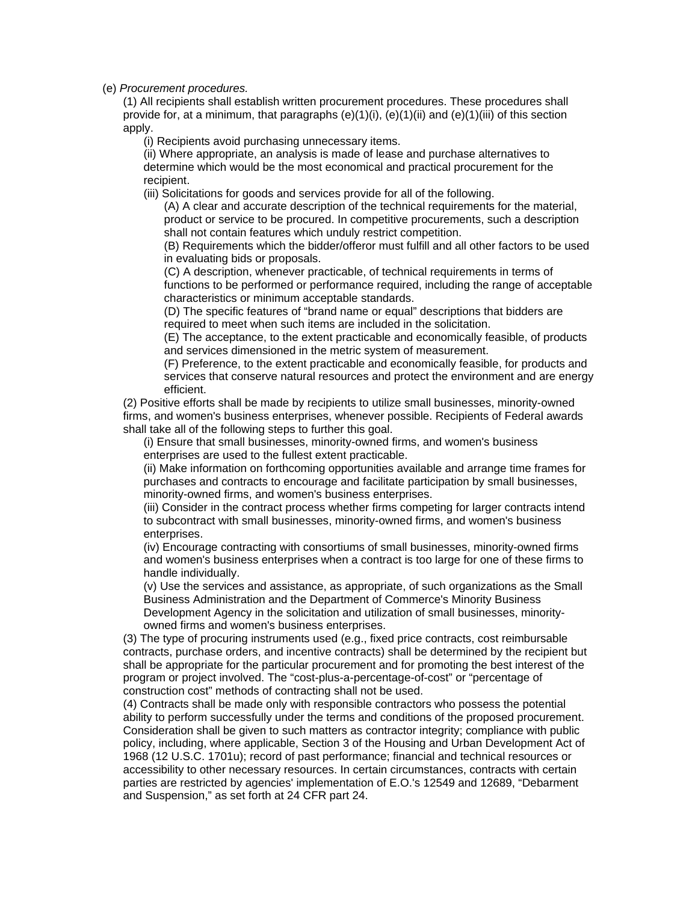(e) *Procurement procedures.*

(1) All recipients shall establish written procurement procedures. These procedures shall provide for, at a minimum, that paragraphs  $(e)(1)(i)$ ,  $(e)(1)(ii)$  and  $(e)(1)(iii)$  of this section apply.

(i) Recipients avoid purchasing unnecessary items.

(ii) Where appropriate, an analysis is made of lease and purchase alternatives to determine which would be the most economical and practical procurement for the recipient.

(iii) Solicitations for goods and services provide for all of the following.

(A) A clear and accurate description of the technical requirements for the material, product or service to be procured. In competitive procurements, such a description shall not contain features which unduly restrict competition.

(B) Requirements which the bidder/offeror must fulfill and all other factors to be used in evaluating bids or proposals.

(C) A description, whenever practicable, of technical requirements in terms of functions to be performed or performance required, including the range of acceptable characteristics or minimum acceptable standards.

(D) The specific features of "brand name or equal" descriptions that bidders are required to meet when such items are included in the solicitation.

(E) The acceptance, to the extent practicable and economically feasible, of products and services dimensioned in the metric system of measurement.

(F) Preference, to the extent practicable and economically feasible, for products and services that conserve natural resources and protect the environment and are energy efficient.

(2) Positive efforts shall be made by recipients to utilize small businesses, minority-owned firms, and women's business enterprises, whenever possible. Recipients of Federal awards shall take all of the following steps to further this goal.

(i) Ensure that small businesses, minority-owned firms, and women's business enterprises are used to the fullest extent practicable.

(ii) Make information on forthcoming opportunities available and arrange time frames for purchases and contracts to encourage and facilitate participation by small businesses, minority-owned firms, and women's business enterprises.

(iii) Consider in the contract process whether firms competing for larger contracts intend to subcontract with small businesses, minority-owned firms, and women's business enterprises.

(iv) Encourage contracting with consortiums of small businesses, minority-owned firms and women's business enterprises when a contract is too large for one of these firms to handle individually.

(v) Use the services and assistance, as appropriate, of such organizations as the Small Business Administration and the Department of Commerce's Minority Business Development Agency in the solicitation and utilization of small businesses, minority-

owned firms and women's business enterprises.

(3) The type of procuring instruments used (e.g., fixed price contracts, cost reimbursable contracts, purchase orders, and incentive contracts) shall be determined by the recipient but shall be appropriate for the particular procurement and for promoting the best interest of the program or project involved. The "cost-plus-a-percentage-of-cost" or "percentage of construction cost" methods of contracting shall not be used.

(4) Contracts shall be made only with responsible contractors who possess the potential ability to perform successfully under the terms and conditions of the proposed procurement. Consideration shall be given to such matters as contractor integrity; compliance with public policy, including, where applicable, Section 3 of the Housing and Urban Development Act of 1968 (12 U.S.C. 1701u); record of past performance; financial and technical resources or accessibility to other necessary resources. In certain circumstances, contracts with certain parties are restricted by agencies' implementation of E.O.'s 12549 and 12689, "Debarment and Suspension," as set forth at 24 CFR part 24.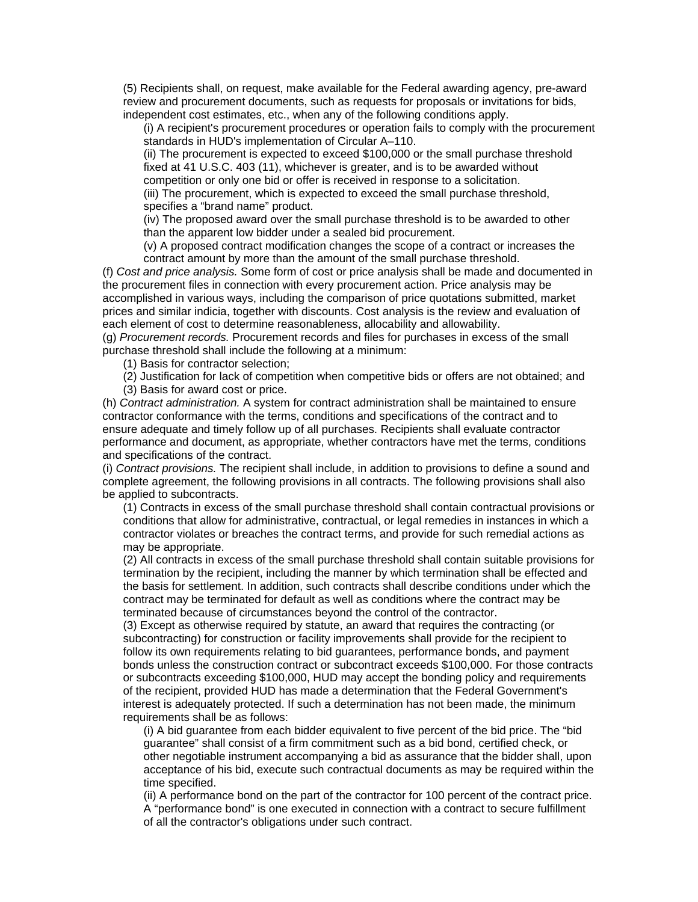(5) Recipients shall, on request, make available for the Federal awarding agency, pre-award review and procurement documents, such as requests for proposals or invitations for bids, independent cost estimates, etc., when any of the following conditions apply.

(i) A recipient's procurement procedures or operation fails to comply with the procurement standards in HUD's implementation of Circular A–110.

(ii) The procurement is expected to exceed \$100,000 or the small purchase threshold fixed at 41 U.S.C. 403 (11), whichever is greater, and is to be awarded without competition or only one bid or offer is received in response to a solicitation.

(iii) The procurement, which is expected to exceed the small purchase threshold, specifies a "brand name" product.

(iv) The proposed award over the small purchase threshold is to be awarded to other than the apparent low bidder under a sealed bid procurement.

(v) A proposed contract modification changes the scope of a contract or increases the contract amount by more than the amount of the small purchase threshold.

(f) *Cost and price analysis.* Some form of cost or price analysis shall be made and documented in the procurement files in connection with every procurement action. Price analysis may be accomplished in various ways, including the comparison of price quotations submitted, market prices and similar indicia, together with discounts. Cost analysis is the review and evaluation of each element of cost to determine reasonableness, allocability and allowability.

(g) *Procurement records.* Procurement records and files for purchases in excess of the small purchase threshold shall include the following at a minimum:

(1) Basis for contractor selection;

(2) Justification for lack of competition when competitive bids or offers are not obtained; and (3) Basis for award cost or price.

(h) *Contract administration.* A system for contract administration shall be maintained to ensure contractor conformance with the terms, conditions and specifications of the contract and to ensure adequate and timely follow up of all purchases. Recipients shall evaluate contractor performance and document, as appropriate, whether contractors have met the terms, conditions and specifications of the contract.

(i) *Contract provisions.* The recipient shall include, in addition to provisions to define a sound and complete agreement, the following provisions in all contracts. The following provisions shall also be applied to subcontracts.

(1) Contracts in excess of the small purchase threshold shall contain contractual provisions or conditions that allow for administrative, contractual, or legal remedies in instances in which a contractor violates or breaches the contract terms, and provide for such remedial actions as may be appropriate.

(2) All contracts in excess of the small purchase threshold shall contain suitable provisions for termination by the recipient, including the manner by which termination shall be effected and the basis for settlement. In addition, such contracts shall describe conditions under which the contract may be terminated for default as well as conditions where the contract may be terminated because of circumstances beyond the control of the contractor.

(3) Except as otherwise required by statute, an award that requires the contracting (or subcontracting) for construction or facility improvements shall provide for the recipient to follow its own requirements relating to bid guarantees, performance bonds, and payment bonds unless the construction contract or subcontract exceeds \$100,000. For those contracts or subcontracts exceeding \$100,000, HUD may accept the bonding policy and requirements of the recipient, provided HUD has made a determination that the Federal Government's interest is adequately protected. If such a determination has not been made, the minimum requirements shall be as follows:

(i) A bid guarantee from each bidder equivalent to five percent of the bid price. The "bid guarantee" shall consist of a firm commitment such as a bid bond, certified check, or other negotiable instrument accompanying a bid as assurance that the bidder shall, upon acceptance of his bid, execute such contractual documents as may be required within the time specified.

(ii) A performance bond on the part of the contractor for 100 percent of the contract price. A "performance bond" is one executed in connection with a contract to secure fulfillment of all the contractor's obligations under such contract.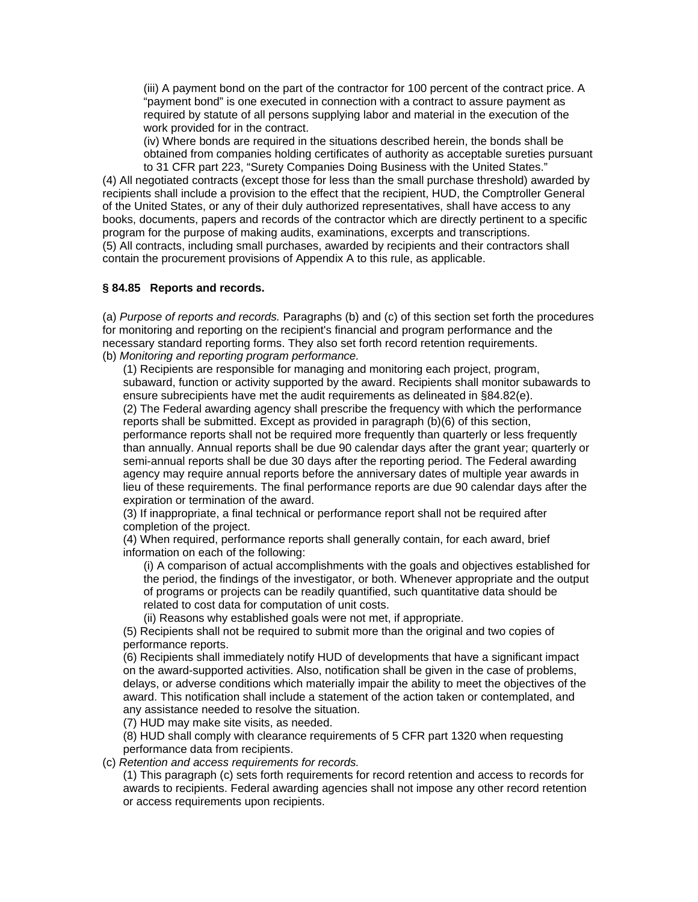(iii) A payment bond on the part of the contractor for 100 percent of the contract price. A "payment bond" is one executed in connection with a contract to assure payment as required by statute of all persons supplying labor and material in the execution of the work provided for in the contract.

(iv) Where bonds are required in the situations described herein, the bonds shall be obtained from companies holding certificates of authority as acceptable sureties pursuant to 31 CFR part 223, "Surety Companies Doing Business with the United States."

(4) All negotiated contracts (except those for less than the small purchase threshold) awarded by recipients shall include a provision to the effect that the recipient, HUD, the Comptroller General of the United States, or any of their duly authorized representatives, shall have access to any books, documents, papers and records of the contractor which are directly pertinent to a specific program for the purpose of making audits, examinations, excerpts and transcriptions. (5) All contracts, including small purchases, awarded by recipients and their contractors shall contain the procurement provisions of Appendix A to this rule, as applicable.

#### **§ 84.85 Reports and records.**

(a) *Purpose of reports and records.* Paragraphs (b) and (c) of this section set forth the procedures for monitoring and reporting on the recipient's financial and program performance and the necessary standard reporting forms. They also set forth record retention requirements. (b) *Monitoring and reporting program performance.*

(1) Recipients are responsible for managing and monitoring each project, program, subaward, function or activity supported by the award. Recipients shall monitor subawards to ensure subrecipients have met the audit requirements as delineated in §84.82(e). (2) The Federal awarding agency shall prescribe the frequency with which the performance reports shall be submitted. Except as provided in paragraph (b)(6) of this section, performance reports shall not be required more frequently than quarterly or less frequently than annually. Annual reports shall be due 90 calendar days after the grant year; quarterly or semi-annual reports shall be due 30 days after the reporting period. The Federal awarding agency may require annual reports before the anniversary dates of multiple year awards in lieu of these requirements. The final performance reports are due 90 calendar days after the expiration or termination of the award.

(3) If inappropriate, a final technical or performance report shall not be required after completion of the project.

(4) When required, performance reports shall generally contain, for each award, brief information on each of the following:

(i) A comparison of actual accomplishments with the goals and objectives established for the period, the findings of the investigator, or both. Whenever appropriate and the output of programs or projects can be readily quantified, such quantitative data should be related to cost data for computation of unit costs.

(ii) Reasons why established goals were not met, if appropriate.

(5) Recipients shall not be required to submit more than the original and two copies of performance reports.

(6) Recipients shall immediately notify HUD of developments that have a significant impact on the award-supported activities. Also, notification shall be given in the case of problems, delays, or adverse conditions which materially impair the ability to meet the objectives of the award. This notification shall include a statement of the action taken or contemplated, and any assistance needed to resolve the situation.

(7) HUD may make site visits, as needed.

(8) HUD shall comply with clearance requirements of 5 CFR part 1320 when requesting performance data from recipients.

(c) *Retention and access requirements for records.*

(1) This paragraph (c) sets forth requirements for record retention and access to records for awards to recipients. Federal awarding agencies shall not impose any other record retention or access requirements upon recipients.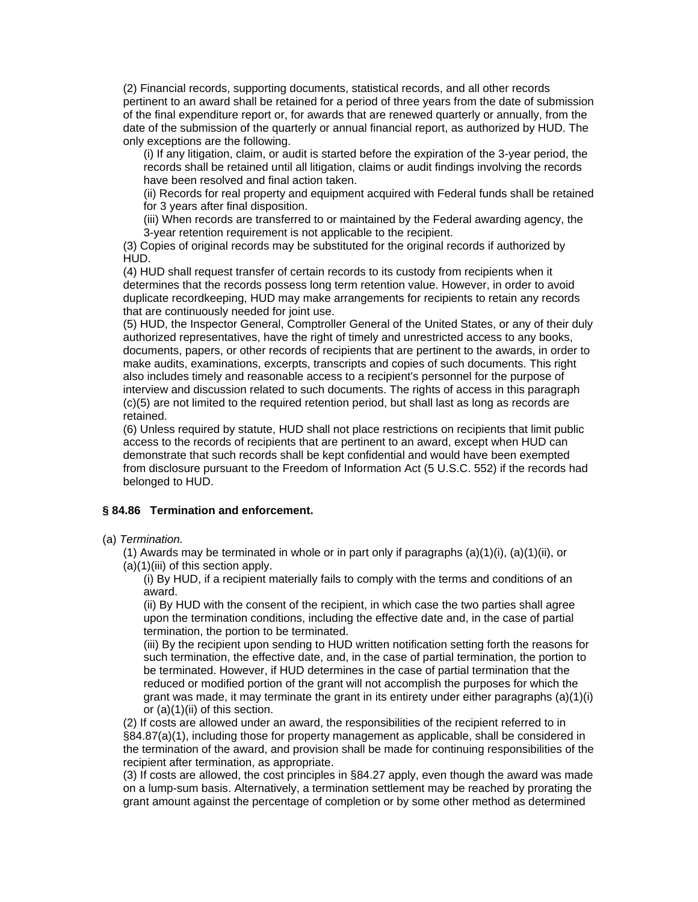(2) Financial records, supporting documents, statistical records, and all other records pertinent to an award shall be retained for a period of three years from the date of submission of the final expenditure report or, for awards that are renewed quarterly or annually, from the date of the submission of the quarterly or annual financial report, as authorized by HUD. The only exceptions are the following.

(i) If any litigation, claim, or audit is started before the expiration of the 3-year period, the records shall be retained until all litigation, claims or audit findings involving the records have been resolved and final action taken.

(ii) Records for real property and equipment acquired with Federal funds shall be retained for 3 years after final disposition.

(iii) When records are transferred to or maintained by the Federal awarding agency, the 3-year retention requirement is not applicable to the recipient.

(3) Copies of original records may be substituted for the original records if authorized by HUD.

(4) HUD shall request transfer of certain records to its custody from recipients when it determines that the records possess long term retention value. However, in order to avoid duplicate recordkeeping, HUD may make arrangements for recipients to retain any records that are continuously needed for joint use.

(5) HUD, the Inspector General, Comptroller General of the United States, or any of their duly authorized representatives, have the right of timely and unrestricted access to any books, documents, papers, or other records of recipients that are pertinent to the awards, in order to make audits, examinations, excerpts, transcripts and copies of such documents. This right also includes timely and reasonable access to a recipient's personnel for the purpose of interview and discussion related to such documents. The rights of access in this paragraph (c)(5) are not limited to the required retention period, but shall last as long as records are retained.

(6) Unless required by statute, HUD shall not place restrictions on recipients that limit public access to the records of recipients that are pertinent to an award, except when HUD can demonstrate that such records shall be kept confidential and would have been exempted from disclosure pursuant to the Freedom of Information Act (5 U.S.C. 552) if the records had belonged to HUD.

#### **§ 84.86 Termination and enforcement.**

(a) *Termination.*

(1) Awards may be terminated in whole or in part only if paragraphs (a)(1)(i), (a)(1)(ii), or (a)(1)(iii) of this section apply.

(i) By HUD, if a recipient materially fails to comply with the terms and conditions of an award.

(ii) By HUD with the consent of the recipient, in which case the two parties shall agree upon the termination conditions, including the effective date and, in the case of partial termination, the portion to be terminated.

(iii) By the recipient upon sending to HUD written notification setting forth the reasons for such termination, the effective date, and, in the case of partial termination, the portion to be terminated. However, if HUD determines in the case of partial termination that the reduced or modified portion of the grant will not accomplish the purposes for which the grant was made, it may terminate the grant in its entirety under either paragraphs  $(a)(1)(i)$ or (a)(1)(ii) of this section.

(2) If costs are allowed under an award, the responsibilities of the recipient referred to in §84.87(a)(1), including those for property management as applicable, shall be considered in the termination of the award, and provision shall be made for continuing responsibilities of the recipient after termination, as appropriate.

(3) If costs are allowed, the cost principles in §84.27 apply, even though the award was made on a lump-sum basis. Alternatively, a termination settlement may be reached by prorating the grant amount against the percentage of completion or by some other method as determined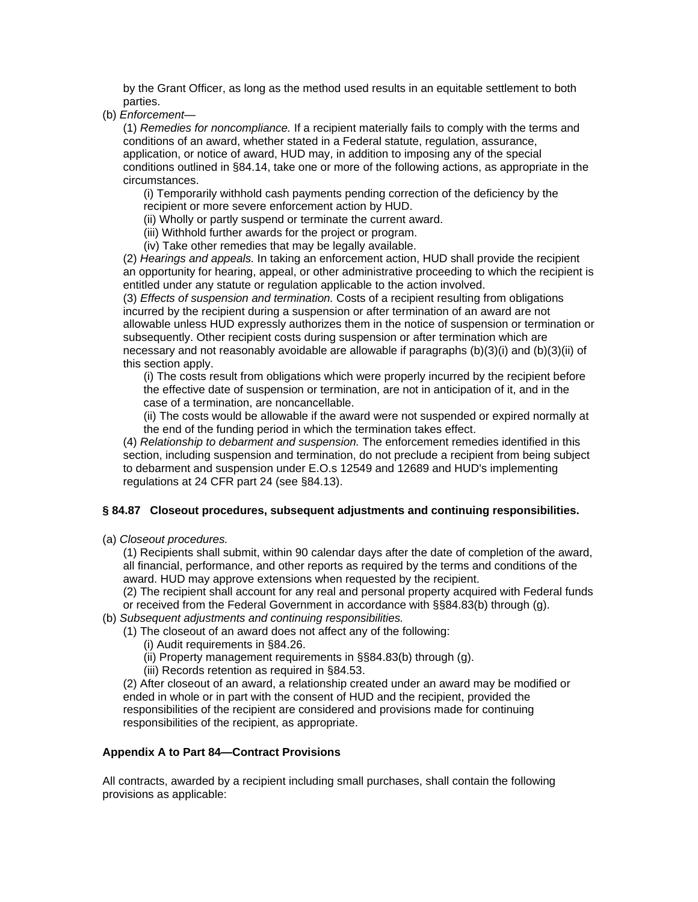by the Grant Officer, as long as the method used results in an equitable settlement to both parties.

(b) *Enforcement*—

(1) *Remedies for noncompliance.* If a recipient materially fails to comply with the terms and conditions of an award, whether stated in a Federal statute, regulation, assurance, application, or notice of award, HUD may, in addition to imposing any of the special conditions outlined in §84.14, take one or more of the following actions, as appropriate in the circumstances.

(i) Temporarily withhold cash payments pending correction of the deficiency by the recipient or more severe enforcement action by HUD.

(ii) Wholly or partly suspend or terminate the current award.

- (iii) Withhold further awards for the project or program.
- (iv) Take other remedies that may be legally available.

(2) *Hearings and appeals.* In taking an enforcement action, HUD shall provide the recipient an opportunity for hearing, appeal, or other administrative proceeding to which the recipient is entitled under any statute or regulation applicable to the action involved.

(3) *Effects of suspension and termination.* Costs of a recipient resulting from obligations incurred by the recipient during a suspension or after termination of an award are not allowable unless HUD expressly authorizes them in the notice of suspension or termination or subsequently. Other recipient costs during suspension or after termination which are necessary and not reasonably avoidable are allowable if paragraphs (b)(3)(i) and (b)(3)(ii) of this section apply.

(i) The costs result from obligations which were properly incurred by the recipient before the effective date of suspension or termination, are not in anticipation of it, and in the case of a termination, are noncancellable.

(ii) The costs would be allowable if the award were not suspended or expired normally at the end of the funding period in which the termination takes effect.

(4) *Relationship to debarment and suspension.* The enforcement remedies identified in this section, including suspension and termination, do not preclude a recipient from being subject to debarment and suspension under E.O.s 12549 and 12689 and HUD's implementing regulations at 24 CFR part 24 (see §84.13).

### **§ 84.87 Closeout procedures, subsequent adjustments and continuing responsibilities.**

(a) *Closeout procedures.*

(1) Recipients shall submit, within 90 calendar days after the date of completion of the award, all financial, performance, and other reports as required by the terms and conditions of the award. HUD may approve extensions when requested by the recipient.

(2) The recipient shall account for any real and personal property acquired with Federal funds or received from the Federal Government in accordance with §§84.83(b) through (g).

- (b) *Subsequent adjustments and continuing responsibilities.*
	- (1) The closeout of an award does not affect any of the following:
		- (i) Audit requirements in §84.26.
		- (ii) Property management requirements in §§84.83(b) through (g).
		- (iii) Records retention as required in §84.53.

(2) After closeout of an award, a relationship created under an award may be modified or ended in whole or in part with the consent of HUD and the recipient, provided the responsibilities of the recipient are considered and provisions made for continuing responsibilities of the recipient, as appropriate.

### **Appendix A to Part 84—Contract Provisions**

All contracts, awarded by a recipient including small purchases, shall contain the following provisions as applicable: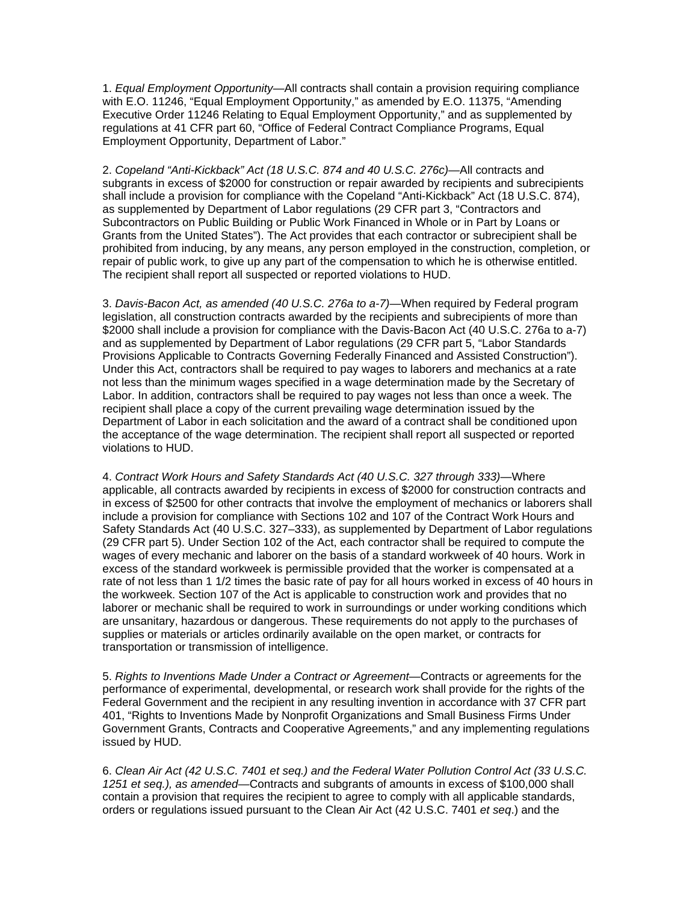1. *Equal Employment Opportunity*—All contracts shall contain a provision requiring compliance with E.O. 11246, "Equal Employment Opportunity," as amended by E.O. 11375, "Amending Executive Order 11246 Relating to Equal Employment Opportunity," and as supplemented by regulations at 41 CFR part 60, "Office of Federal Contract Compliance Programs, Equal Employment Opportunity, Department of Labor."

2. *Copeland "Anti-Kickback" Act (18 U.S.C. 874 and 40 U.S.C. 276c)*—All contracts and subgrants in excess of \$2000 for construction or repair awarded by recipients and subrecipients shall include a provision for compliance with the Copeland "Anti-Kickback" Act (18 U.S.C. 874), as supplemented by Department of Labor regulations (29 CFR part 3, "Contractors and Subcontractors on Public Building or Public Work Financed in Whole or in Part by Loans or Grants from the United States"). The Act provides that each contractor or subrecipient shall be prohibited from inducing, by any means, any person employed in the construction, completion, or repair of public work, to give up any part of the compensation to which he is otherwise entitled. The recipient shall report all suspected or reported violations to HUD.

3. *Davis-Bacon Act, as amended (40 U.S.C. 276a to a-7)*—When required by Federal program legislation, all construction contracts awarded by the recipients and subrecipients of more than \$2000 shall include a provision for compliance with the Davis-Bacon Act (40 U.S.C. 276a to a-7) and as supplemented by Department of Labor regulations (29 CFR part 5, "Labor Standards Provisions Applicable to Contracts Governing Federally Financed and Assisted Construction"). Under this Act, contractors shall be required to pay wages to laborers and mechanics at a rate not less than the minimum wages specified in a wage determination made by the Secretary of Labor. In addition, contractors shall be required to pay wages not less than once a week. The recipient shall place a copy of the current prevailing wage determination issued by the Department of Labor in each solicitation and the award of a contract shall be conditioned upon the acceptance of the wage determination. The recipient shall report all suspected or reported violations to HUD.

4. *Contract Work Hours and Safety Standards Act (40 U.S.C. 327 through 333)*—Where applicable, all contracts awarded by recipients in excess of \$2000 for construction contracts and in excess of \$2500 for other contracts that involve the employment of mechanics or laborers shall include a provision for compliance with Sections 102 and 107 of the Contract Work Hours and Safety Standards Act (40 U.S.C. 327–333), as supplemented by Department of Labor regulations (29 CFR part 5). Under Section 102 of the Act, each contractor shall be required to compute the wages of every mechanic and laborer on the basis of a standard workweek of 40 hours. Work in excess of the standard workweek is permissible provided that the worker is compensated at a rate of not less than 1 1/2 times the basic rate of pay for all hours worked in excess of 40 hours in the workweek. Section 107 of the Act is applicable to construction work and provides that no laborer or mechanic shall be required to work in surroundings or under working conditions which are unsanitary, hazardous or dangerous. These requirements do not apply to the purchases of supplies or materials or articles ordinarily available on the open market, or contracts for transportation or transmission of intelligence.

5. *Rights to Inventions Made Under a Contract or Agreement—*Contracts or agreements for the performance of experimental, developmental, or research work shall provide for the rights of the Federal Government and the recipient in any resulting invention in accordance with 37 CFR part 401, "Rights to Inventions Made by Nonprofit Organizations and Small Business Firms Under Government Grants, Contracts and Cooperative Agreements," and any implementing regulations issued by HUD.

6. *Clean Air Act (42 U.S.C. 7401 et seq.) and the Federal Water Pollution Control Act (33 U.S.C. 1251 et seq.), as amended*—Contracts and subgrants of amounts in excess of \$100,000 shall contain a provision that requires the recipient to agree to comply with all applicable standards, orders or regulations issued pursuant to the Clean Air Act (42 U.S.C. 7401 *et seq*.) and the